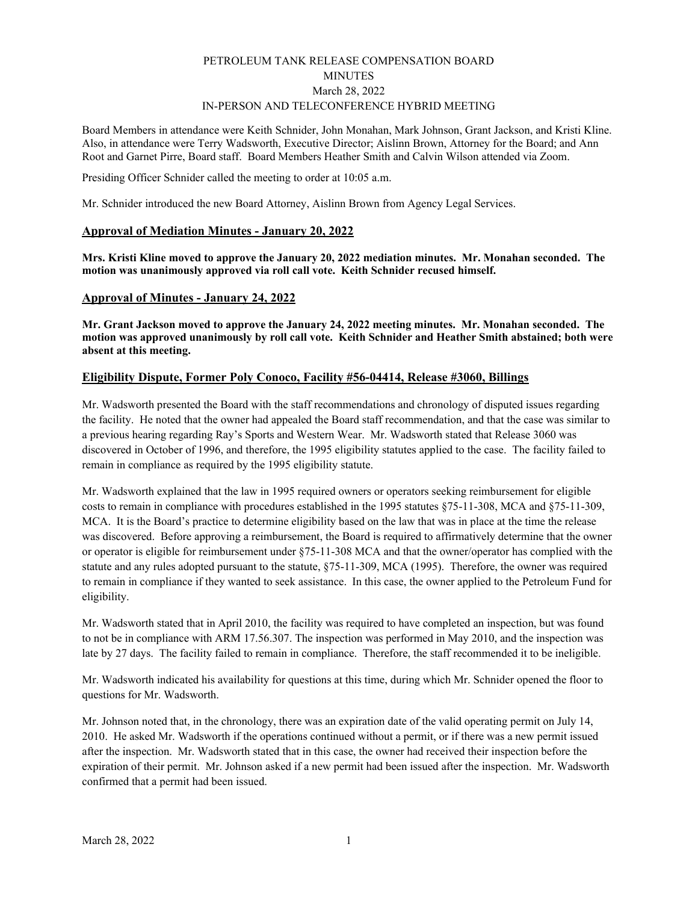# PETROLEUM TANK RELEASE COMPENSATION BOARD MINUTES March 28, 2022 IN-PERSON AND TELECONFERENCE HYBRID MEETING

Board Members in attendance were Keith Schnider, John Monahan, Mark Johnson, Grant Jackson, and Kristi Kline. Also, in attendance were Terry Wadsworth, Executive Director; Aislinn Brown, Attorney for the Board; and Ann Root and Garnet Pirre, Board staff. Board Members Heather Smith and Calvin Wilson attended via Zoom.

Presiding Officer Schnider called the meeting to order at 10:05 a.m.

Mr. Schnider introduced the new Board Attorney, Aislinn Brown from Agency Legal Services.

## **Approval of Mediation Minutes - January 20, 2022**

**Mrs. Kristi Kline moved to approve the January 20, 2022 mediation minutes. Mr. Monahan seconded. The motion was unanimously approved via roll call vote. Keith Schnider recused himself.** 

## **Approval of Minutes - January 24, 2022**

**Mr. Grant Jackson moved to approve the January 24, 2022 meeting minutes. Mr. Monahan seconded. The motion was approved unanimously by roll call vote. Keith Schnider and Heather Smith abstained; both were absent at this meeting.** 

# **Eligibility Dispute, Former Poly Conoco, Facility #56-04414, Release #3060, Billings**

Mr. Wadsworth presented the Board with the staff recommendations and chronology of disputed issues regarding the facility. He noted that the owner had appealed the Board staff recommendation, and that the case was similar to a previous hearing regarding Ray's Sports and Western Wear. Mr. Wadsworth stated that Release 3060 was discovered in October of 1996, and therefore, the 1995 eligibility statutes applied to the case. The facility failed to remain in compliance as required by the 1995 eligibility statute.

Mr. Wadsworth explained that the law in 1995 required owners or operators seeking reimbursement for eligible costs to remain in compliance with procedures established in the 1995 statutes §75-11-308, MCA and §75-11-309, MCA. It is the Board's practice to determine eligibility based on the law that was in place at the time the release was discovered. Before approving a reimbursement, the Board is required to affirmatively determine that the owner or operator is eligible for reimbursement under §75-11-308 MCA and that the owner/operator has complied with the statute and any rules adopted pursuant to the statute, §75-11-309, MCA (1995). Therefore, the owner was required to remain in compliance if they wanted to seek assistance. In this case, the owner applied to the Petroleum Fund for eligibility.

Mr. Wadsworth stated that in April 2010, the facility was required to have completed an inspection, but was found to not be in compliance with ARM 17.56.307. The inspection was performed in May 2010, and the inspection was late by 27 days. The facility failed to remain in compliance. Therefore, the staff recommended it to be ineligible.

Mr. Wadsworth indicated his availability for questions at this time, during which Mr. Schnider opened the floor to questions for Mr. Wadsworth.

Mr. Johnson noted that, in the chronology, there was an expiration date of the valid operating permit on July 14, 2010. He asked Mr. Wadsworth if the operations continued without a permit, or if there was a new permit issued after the inspection. Mr. Wadsworth stated that in this case, the owner had received their inspection before the expiration of their permit. Mr. Johnson asked if a new permit had been issued after the inspection. Mr. Wadsworth confirmed that a permit had been issued.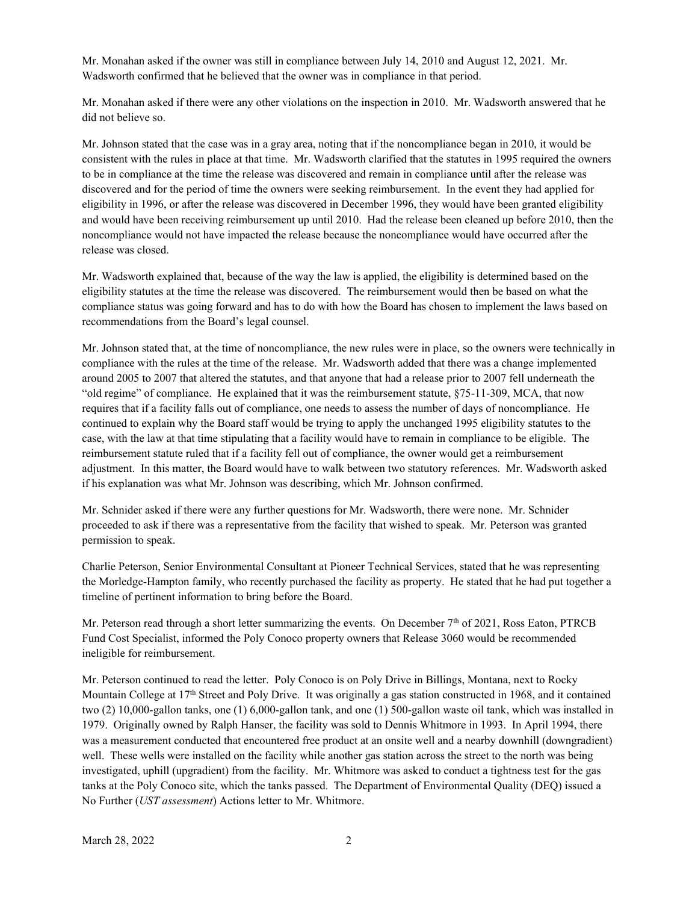Mr. Monahan asked if the owner was still in compliance between July 14, 2010 and August 12, 2021. Mr. Wadsworth confirmed that he believed that the owner was in compliance in that period.

Mr. Monahan asked if there were any other violations on the inspection in 2010. Mr. Wadsworth answered that he did not believe so.

Mr. Johnson stated that the case was in a gray area, noting that if the noncompliance began in 2010, it would be consistent with the rules in place at that time. Mr. Wadsworth clarified that the statutes in 1995 required the owners to be in compliance at the time the release was discovered and remain in compliance until after the release was discovered and for the period of time the owners were seeking reimbursement. In the event they had applied for eligibility in 1996, or after the release was discovered in December 1996, they would have been granted eligibility and would have been receiving reimbursement up until 2010. Had the release been cleaned up before 2010, then the noncompliance would not have impacted the release because the noncompliance would have occurred after the release was closed.

Mr. Wadsworth explained that, because of the way the law is applied, the eligibility is determined based on the eligibility statutes at the time the release was discovered. The reimbursement would then be based on what the compliance status was going forward and has to do with how the Board has chosen to implement the laws based on recommendations from the Board's legal counsel.

Mr. Johnson stated that, at the time of noncompliance, the new rules were in place, so the owners were technically in compliance with the rules at the time of the release. Mr. Wadsworth added that there was a change implemented around 2005 to 2007 that altered the statutes, and that anyone that had a release prior to 2007 fell underneath the "old regime" of compliance. He explained that it was the reimbursement statute, §75-11-309, MCA, that now requires that if a facility falls out of compliance, one needs to assess the number of days of noncompliance. He continued to explain why the Board staff would be trying to apply the unchanged 1995 eligibility statutes to the case, with the law at that time stipulating that a facility would have to remain in compliance to be eligible. The reimbursement statute ruled that if a facility fell out of compliance, the owner would get a reimbursement adjustment. In this matter, the Board would have to walk between two statutory references. Mr. Wadsworth asked if his explanation was what Mr. Johnson was describing, which Mr. Johnson confirmed.

Mr. Schnider asked if there were any further questions for Mr. Wadsworth, there were none. Mr. Schnider proceeded to ask if there was a representative from the facility that wished to speak. Mr. Peterson was granted permission to speak.

Charlie Peterson, Senior Environmental Consultant at Pioneer Technical Services, stated that he was representing the Morledge-Hampton family, who recently purchased the facility as property. He stated that he had put together a timeline of pertinent information to bring before the Board.

Mr. Peterson read through a short letter summarizing the events. On December  $7<sup>th</sup>$  of 2021, Ross Eaton, PTRCB Fund Cost Specialist, informed the Poly Conoco property owners that Release 3060 would be recommended ineligible for reimbursement.

Mr. Peterson continued to read the letter. Poly Conoco is on Poly Drive in Billings, Montana, next to Rocky Mountain College at 17<sup>th</sup> Street and Poly Drive. It was originally a gas station constructed in 1968, and it contained two (2) 10,000-gallon tanks, one (1) 6,000-gallon tank, and one (1) 500-gallon waste oil tank, which was installed in 1979. Originally owned by Ralph Hanser, the facility was sold to Dennis Whitmore in 1993. In April 1994, there was a measurement conducted that encountered free product at an onsite well and a nearby downhill (downgradient) well. These wells were installed on the facility while another gas station across the street to the north was being investigated, uphill (upgradient) from the facility. Mr. Whitmore was asked to conduct a tightness test for the gas tanks at the Poly Conoco site, which the tanks passed. The Department of Environmental Quality (DEQ) issued a No Further (*UST assessment*) Actions letter to Mr. Whitmore.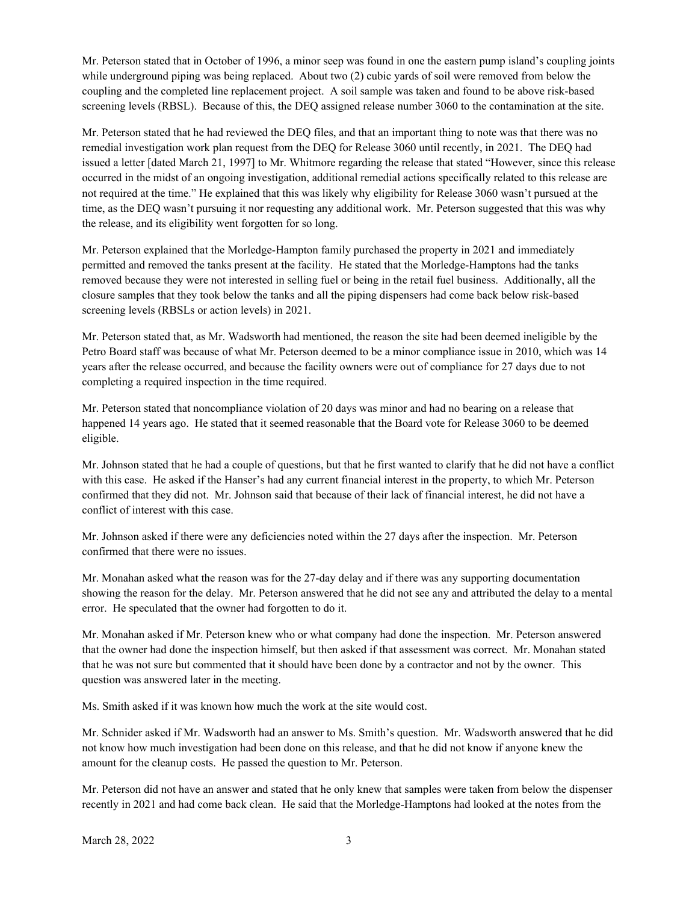Mr. Peterson stated that in October of 1996, a minor seep was found in one the eastern pump island's coupling joints while underground piping was being replaced. About two (2) cubic yards of soil were removed from below the coupling and the completed line replacement project. A soil sample was taken and found to be above risk-based screening levels (RBSL). Because of this, the DEQ assigned release number 3060 to the contamination at the site.

Mr. Peterson stated that he had reviewed the DEQ files, and that an important thing to note was that there was no remedial investigation work plan request from the DEQ for Release 3060 until recently, in 2021. The DEQ had issued a letter [dated March 21, 1997] to Mr. Whitmore regarding the release that stated "However, since this release occurred in the midst of an ongoing investigation, additional remedial actions specifically related to this release are not required at the time." He explained that this was likely why eligibility for Release 3060 wasn't pursued at the time, as the DEQ wasn't pursuing it nor requesting any additional work. Mr. Peterson suggested that this was why the release, and its eligibility went forgotten for so long.

Mr. Peterson explained that the Morledge-Hampton family purchased the property in 2021 and immediately permitted and removed the tanks present at the facility. He stated that the Morledge-Hamptons had the tanks removed because they were not interested in selling fuel or being in the retail fuel business. Additionally, all the closure samples that they took below the tanks and all the piping dispensers had come back below risk-based screening levels (RBSLs or action levels) in 2021.

Mr. Peterson stated that, as Mr. Wadsworth had mentioned, the reason the site had been deemed ineligible by the Petro Board staff was because of what Mr. Peterson deemed to be a minor compliance issue in 2010, which was 14 years after the release occurred, and because the facility owners were out of compliance for 27 days due to not completing a required inspection in the time required.

Mr. Peterson stated that noncompliance violation of 20 days was minor and had no bearing on a release that happened 14 years ago. He stated that it seemed reasonable that the Board vote for Release 3060 to be deemed eligible.

Mr. Johnson stated that he had a couple of questions, but that he first wanted to clarify that he did not have a conflict with this case. He asked if the Hanser's had any current financial interest in the property, to which Mr. Peterson confirmed that they did not. Mr. Johnson said that because of their lack of financial interest, he did not have a conflict of interest with this case.

Mr. Johnson asked if there were any deficiencies noted within the 27 days after the inspection. Mr. Peterson confirmed that there were no issues.

Mr. Monahan asked what the reason was for the 27-day delay and if there was any supporting documentation showing the reason for the delay. Mr. Peterson answered that he did not see any and attributed the delay to a mental error. He speculated that the owner had forgotten to do it.

Mr. Monahan asked if Mr. Peterson knew who or what company had done the inspection. Mr. Peterson answered that the owner had done the inspection himself, but then asked if that assessment was correct. Mr. Monahan stated that he was not sure but commented that it should have been done by a contractor and not by the owner. This question was answered later in the meeting.

Ms. Smith asked if it was known how much the work at the site would cost.

Mr. Schnider asked if Mr. Wadsworth had an answer to Ms. Smith's question. Mr. Wadsworth answered that he did not know how much investigation had been done on this release, and that he did not know if anyone knew the amount for the cleanup costs. He passed the question to Mr. Peterson.

Mr. Peterson did not have an answer and stated that he only knew that samples were taken from below the dispenser recently in 2021 and had come back clean. He said that the Morledge-Hamptons had looked at the notes from the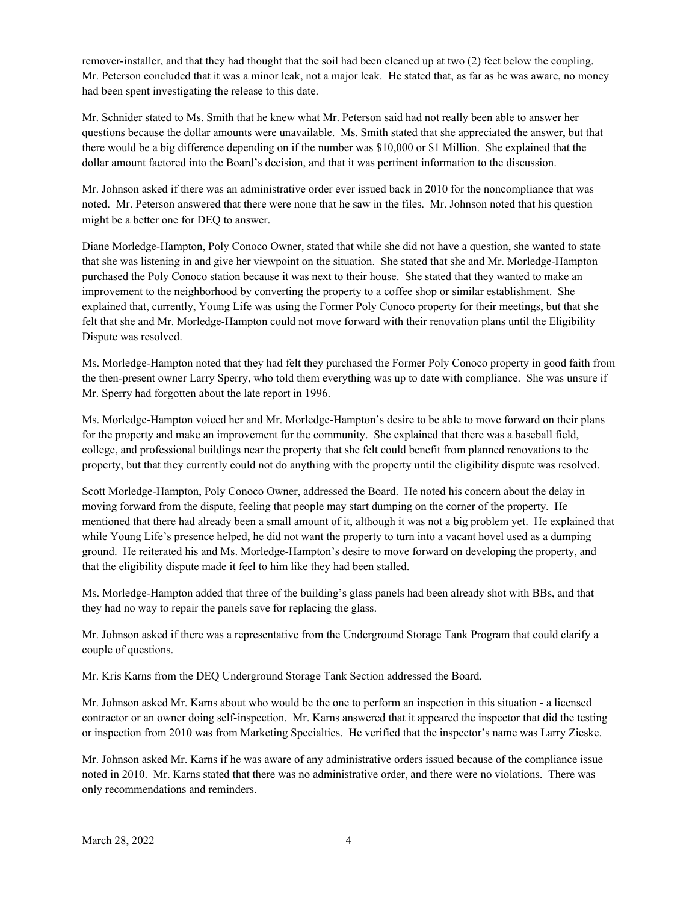remover-installer, and that they had thought that the soil had been cleaned up at two (2) feet below the coupling. Mr. Peterson concluded that it was a minor leak, not a major leak. He stated that, as far as he was aware, no money had been spent investigating the release to this date.

Mr. Schnider stated to Ms. Smith that he knew what Mr. Peterson said had not really been able to answer her questions because the dollar amounts were unavailable. Ms. Smith stated that she appreciated the answer, but that there would be a big difference depending on if the number was \$10,000 or \$1 Million. She explained that the dollar amount factored into the Board's decision, and that it was pertinent information to the discussion.

Mr. Johnson asked if there was an administrative order ever issued back in 2010 for the noncompliance that was noted. Mr. Peterson answered that there were none that he saw in the files. Mr. Johnson noted that his question might be a better one for DEQ to answer.

Diane Morledge-Hampton, Poly Conoco Owner, stated that while she did not have a question, she wanted to state that she was listening in and give her viewpoint on the situation. She stated that she and Mr. Morledge-Hampton purchased the Poly Conoco station because it was next to their house. She stated that they wanted to make an improvement to the neighborhood by converting the property to a coffee shop or similar establishment. She explained that, currently, Young Life was using the Former Poly Conoco property for their meetings, but that she felt that she and Mr. Morledge-Hampton could not move forward with their renovation plans until the Eligibility Dispute was resolved.

Ms. Morledge-Hampton noted that they had felt they purchased the Former Poly Conoco property in good faith from the then-present owner Larry Sperry, who told them everything was up to date with compliance. She was unsure if Mr. Sperry had forgotten about the late report in 1996.

Ms. Morledge-Hampton voiced her and Mr. Morledge-Hampton's desire to be able to move forward on their plans for the property and make an improvement for the community. She explained that there was a baseball field, college, and professional buildings near the property that she felt could benefit from planned renovations to the property, but that they currently could not do anything with the property until the eligibility dispute was resolved.

Scott Morledge-Hampton, Poly Conoco Owner, addressed the Board. He noted his concern about the delay in moving forward from the dispute, feeling that people may start dumping on the corner of the property. He mentioned that there had already been a small amount of it, although it was not a big problem yet. He explained that while Young Life's presence helped, he did not want the property to turn into a vacant hovel used as a dumping ground. He reiterated his and Ms. Morledge-Hampton's desire to move forward on developing the property, and that the eligibility dispute made it feel to him like they had been stalled.

Ms. Morledge-Hampton added that three of the building's glass panels had been already shot with BBs, and that they had no way to repair the panels save for replacing the glass.

Mr. Johnson asked if there was a representative from the Underground Storage Tank Program that could clarify a couple of questions.

Mr. Kris Karns from the DEQ Underground Storage Tank Section addressed the Board.

Mr. Johnson asked Mr. Karns about who would be the one to perform an inspection in this situation - a licensed contractor or an owner doing self-inspection. Mr. Karns answered that it appeared the inspector that did the testing or inspection from 2010 was from Marketing Specialties. He verified that the inspector's name was Larry Zieske.

Mr. Johnson asked Mr. Karns if he was aware of any administrative orders issued because of the compliance issue noted in 2010. Mr. Karns stated that there was no administrative order, and there were no violations. There was only recommendations and reminders.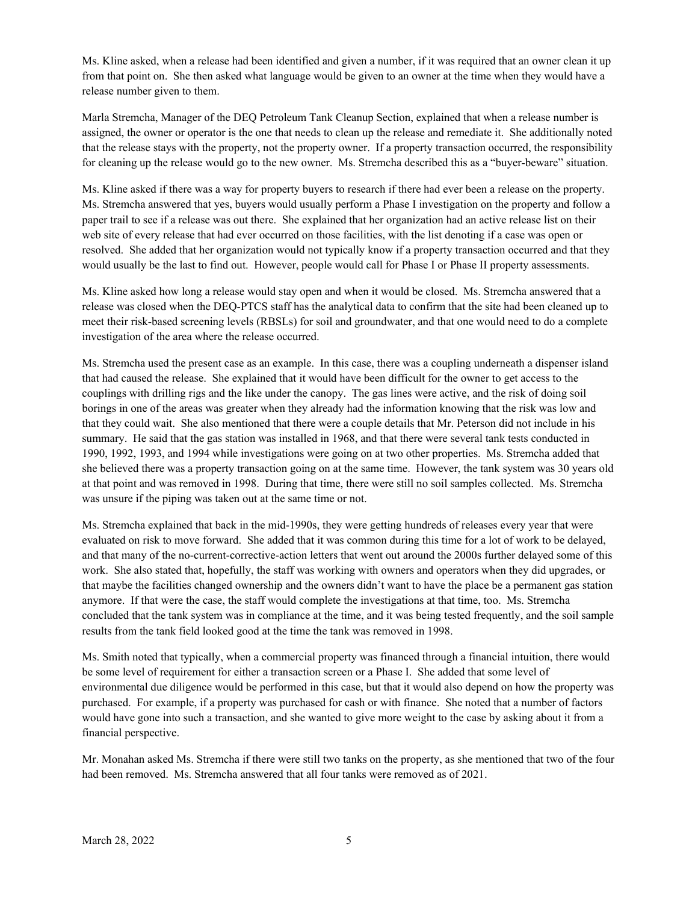Ms. Kline asked, when a release had been identified and given a number, if it was required that an owner clean it up from that point on. She then asked what language would be given to an owner at the time when they would have a release number given to them.

Marla Stremcha, Manager of the DEQ Petroleum Tank Cleanup Section, explained that when a release number is assigned, the owner or operator is the one that needs to clean up the release and remediate it. She additionally noted that the release stays with the property, not the property owner. If a property transaction occurred, the responsibility for cleaning up the release would go to the new owner. Ms. Stremcha described this as a "buyer-beware" situation.

Ms. Kline asked if there was a way for property buyers to research if there had ever been a release on the property. Ms. Stremcha answered that yes, buyers would usually perform a Phase I investigation on the property and follow a paper trail to see if a release was out there. She explained that her organization had an active release list on their web site of every release that had ever occurred on those facilities, with the list denoting if a case was open or resolved. She added that her organization would not typically know if a property transaction occurred and that they would usually be the last to find out. However, people would call for Phase I or Phase II property assessments.

Ms. Kline asked how long a release would stay open and when it would be closed. Ms. Stremcha answered that a release was closed when the DEQ-PTCS staff has the analytical data to confirm that the site had been cleaned up to meet their risk-based screening levels (RBSLs) for soil and groundwater, and that one would need to do a complete investigation of the area where the release occurred.

Ms. Stremcha used the present case as an example. In this case, there was a coupling underneath a dispenser island that had caused the release. She explained that it would have been difficult for the owner to get access to the couplings with drilling rigs and the like under the canopy. The gas lines were active, and the risk of doing soil borings in one of the areas was greater when they already had the information knowing that the risk was low and that they could wait. She also mentioned that there were a couple details that Mr. Peterson did not include in his summary. He said that the gas station was installed in 1968, and that there were several tank tests conducted in 1990, 1992, 1993, and 1994 while investigations were going on at two other properties. Ms. Stremcha added that she believed there was a property transaction going on at the same time. However, the tank system was 30 years old at that point and was removed in 1998. During that time, there were still no soil samples collected. Ms. Stremcha was unsure if the piping was taken out at the same time or not.

Ms. Stremcha explained that back in the mid-1990s, they were getting hundreds of releases every year that were evaluated on risk to move forward. She added that it was common during this time for a lot of work to be delayed, and that many of the no-current-corrective-action letters that went out around the 2000s further delayed some of this work. She also stated that, hopefully, the staff was working with owners and operators when they did upgrades, or that maybe the facilities changed ownership and the owners didn't want to have the place be a permanent gas station anymore. If that were the case, the staff would complete the investigations at that time, too. Ms. Stremcha concluded that the tank system was in compliance at the time, and it was being tested frequently, and the soil sample results from the tank field looked good at the time the tank was removed in 1998.

Ms. Smith noted that typically, when a commercial property was financed through a financial intuition, there would be some level of requirement for either a transaction screen or a Phase I. She added that some level of environmental due diligence would be performed in this case, but that it would also depend on how the property was purchased. For example, if a property was purchased for cash or with finance. She noted that a number of factors would have gone into such a transaction, and she wanted to give more weight to the case by asking about it from a financial perspective.

Mr. Monahan asked Ms. Stremcha if there were still two tanks on the property, as she mentioned that two of the four had been removed. Ms. Stremcha answered that all four tanks were removed as of 2021.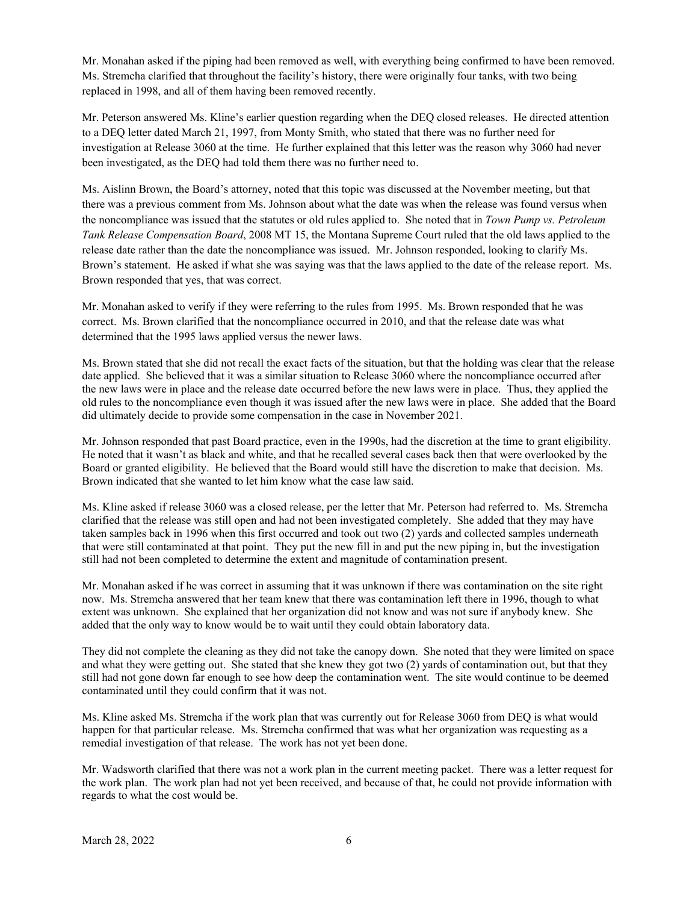Mr. Monahan asked if the piping had been removed as well, with everything being confirmed to have been removed. Ms. Stremcha clarified that throughout the facility's history, there were originally four tanks, with two being replaced in 1998, and all of them having been removed recently.

Mr. Peterson answered Ms. Kline's earlier question regarding when the DEQ closed releases. He directed attention to a DEQ letter dated March 21, 1997, from Monty Smith, who stated that there was no further need for investigation at Release 3060 at the time. He further explained that this letter was the reason why 3060 had never been investigated, as the DEQ had told them there was no further need to.

Ms. Aislinn Brown, the Board's attorney, noted that this topic was discussed at the November meeting, but that there was a previous comment from Ms. Johnson about what the date was when the release was found versus when the noncompliance was issued that the statutes or old rules applied to. She noted that in *Town Pump vs. Petroleum Tank Release Compensation Board*, 2008 MT 15, the Montana Supreme Court ruled that the old laws applied to the release date rather than the date the noncompliance was issued. Mr. Johnson responded, looking to clarify Ms. Brown's statement. He asked if what she was saying was that the laws applied to the date of the release report. Ms. Brown responded that yes, that was correct.

Mr. Monahan asked to verify if they were referring to the rules from 1995. Ms. Brown responded that he was correct. Ms. Brown clarified that the noncompliance occurred in 2010, and that the release date was what determined that the 1995 laws applied versus the newer laws.

Ms. Brown stated that she did not recall the exact facts of the situation, but that the holding was clear that the release date applied. She believed that it was a similar situation to Release 3060 where the noncompliance occurred after the new laws were in place and the release date occurred before the new laws were in place. Thus, they applied the old rules to the noncompliance even though it was issued after the new laws were in place. She added that the Board did ultimately decide to provide some compensation in the case in November 2021.

Mr. Johnson responded that past Board practice, even in the 1990s, had the discretion at the time to grant eligibility. He noted that it wasn't as black and white, and that he recalled several cases back then that were overlooked by the Board or granted eligibility. He believed that the Board would still have the discretion to make that decision. Ms. Brown indicated that she wanted to let him know what the case law said.

Ms. Kline asked if release 3060 was a closed release, per the letter that Mr. Peterson had referred to. Ms. Stremcha clarified that the release was still open and had not been investigated completely. She added that they may have taken samples back in 1996 when this first occurred and took out two (2) yards and collected samples underneath that were still contaminated at that point. They put the new fill in and put the new piping in, but the investigation still had not been completed to determine the extent and magnitude of contamination present.

Mr. Monahan asked if he was correct in assuming that it was unknown if there was contamination on the site right now. Ms. Stremcha answered that her team knew that there was contamination left there in 1996, though to what extent was unknown. She explained that her organization did not know and was not sure if anybody knew. She added that the only way to know would be to wait until they could obtain laboratory data.

They did not complete the cleaning as they did not take the canopy down. She noted that they were limited on space and what they were getting out. She stated that she knew they got two (2) yards of contamination out, but that they still had not gone down far enough to see how deep the contamination went. The site would continue to be deemed contaminated until they could confirm that it was not.

Ms. Kline asked Ms. Stremcha if the work plan that was currently out for Release 3060 from DEQ is what would happen for that particular release. Ms. Stremcha confirmed that was what her organization was requesting as a remedial investigation of that release. The work has not yet been done.

Mr. Wadsworth clarified that there was not a work plan in the current meeting packet. There was a letter request for the work plan. The work plan had not yet been received, and because of that, he could not provide information with regards to what the cost would be.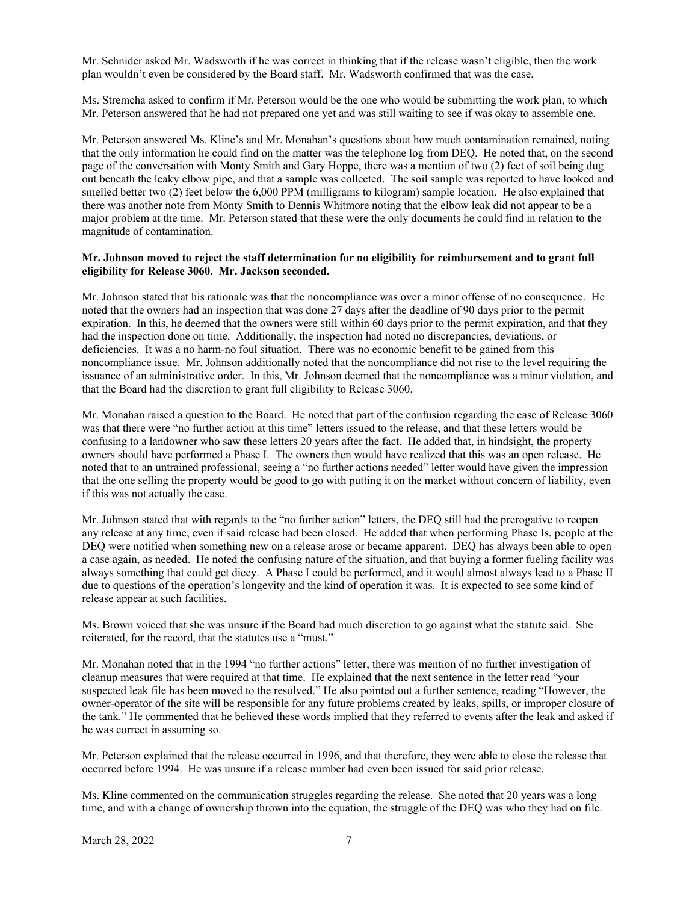Mr. Schnider asked Mr. Wadsworth if he was correct in thinking that if the release wasn't eligible, then the work plan wouldn't even be considered by the Board staff. Mr. Wadsworth confirmed that was the case.

Ms. Stremcha asked to confirm if Mr. Peterson would be the one who would be submitting the work plan, to which Mr. Peterson answered that he had not prepared one yet and was still waiting to see if was okay to assemble one.

Mr. Peterson answered Ms. Kline's and Mr. Monahan's questions about how much contamination remained, noting that the only information he could find on the matter was the telephone log from DEQ. He noted that, on the second page of the conversation with Monty Smith and Gary Hoppe, there was a mention of two (2) feet of soil being dug out beneath the leaky elbow pipe, and that a sample was collected. The soil sample was reported to have looked and smelled better two (2) feet below the 6,000 PPM (milligrams to kilogram) sample location. He also explained that there was another note from Monty Smith to Dennis Whitmore noting that the elbow leak did not appear to be a major problem at the time. Mr. Peterson stated that these were the only documents he could find in relation to the magnitude of contamination.

#### **Mr. Johnson moved to reject the staff determination for no eligibility for reimbursement and to grant full eligibility for Release 3060. Mr. Jackson seconded.**

Mr. Johnson stated that his rationale was that the noncompliance was over a minor offense of no consequence. He noted that the owners had an inspection that was done 27 days after the deadline of 90 days prior to the permit expiration. In this, he deemed that the owners were still within 60 days prior to the permit expiration, and that they had the inspection done on time. Additionally, the inspection had noted no discrepancies, deviations, or deficiencies. It was a no harm-no foul situation. There was no economic benefit to be gained from this noncompliance issue. Mr. Johnson additionally noted that the noncompliance did not rise to the level requiring the issuance of an administrative order. In this, Mr. Johnson deemed that the noncompliance was a minor violation, and that the Board had the discretion to grant full eligibility to Release 3060.

Mr. Monahan raised a question to the Board. He noted that part of the confusion regarding the case of Release 3060 was that there were "no further action at this time" letters issued to the release, and that these letters would be confusing to a landowner who saw these letters 20 years after the fact. He added that, in hindsight, the property owners should have performed a Phase I. The owners then would have realized that this was an open release. He noted that to an untrained professional, seeing a "no further actions needed" letter would have given the impression that the one selling the property would be good to go with putting it on the market without concern of liability, even if this was not actually the case.

Mr. Johnson stated that with regards to the "no further action" letters, the DEQ still had the prerogative to reopen any release at any time, even if said release had been closed. He added that when performing Phase Is, people at the DEQ were notified when something new on a release arose or became apparent. DEQ has always been able to open a case again, as needed. He noted the confusing nature of the situation, and that buying a former fueling facility was always something that could get dicey. A Phase I could be performed, and it would almost always lead to a Phase II due to questions of the operation's longevity and the kind of operation it was. It is expected to see some kind of release appear at such facilities.

Ms. Brown voiced that she was unsure if the Board had much discretion to go against what the statute said. She reiterated, for the record, that the statutes use a "must."

Mr. Monahan noted that in the 1994 "no further actions" letter, there was mention of no further investigation of cleanup measures that were required at that time. He explained that the next sentence in the letter read "your suspected leak file has been moved to the resolved." He also pointed out a further sentence, reading "However, the owner-operator of the site will be responsible for any future problems created by leaks, spills, or improper closure of the tank." He commented that he believed these words implied that they referred to events after the leak and asked if he was correct in assuming so.

Mr. Peterson explained that the release occurred in 1996, and that therefore, they were able to close the release that occurred before 1994. He was unsure if a release number had even been issued for said prior release.

Ms. Kline commented on the communication struggles regarding the release. She noted that 20 years was a long time, and with a change of ownership thrown into the equation, the struggle of the DEQ was who they had on file.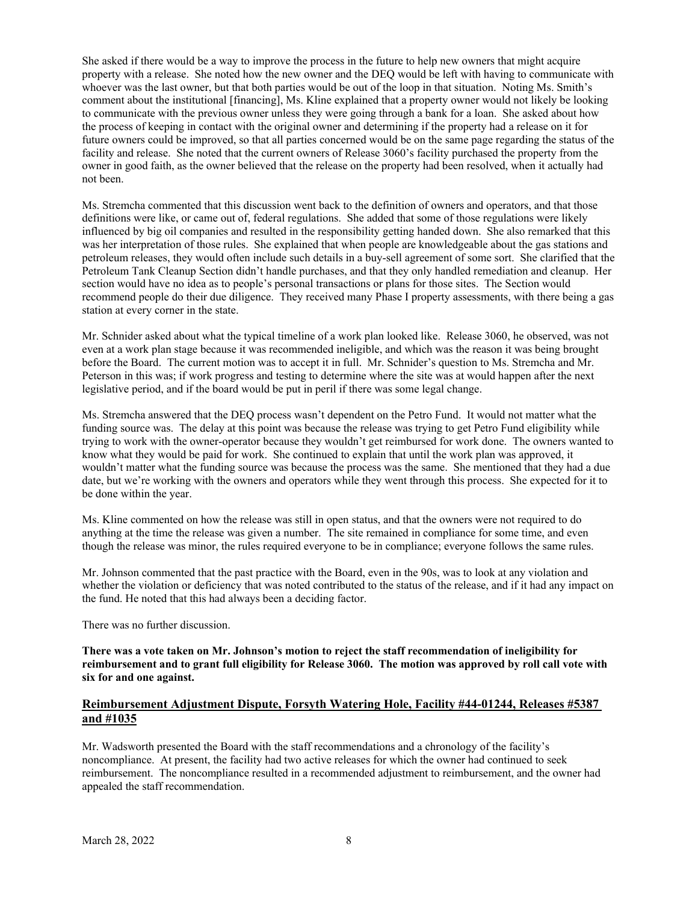She asked if there would be a way to improve the process in the future to help new owners that might acquire property with a release. She noted how the new owner and the DEQ would be left with having to communicate with whoever was the last owner, but that both parties would be out of the loop in that situation. Noting Ms. Smith's comment about the institutional [financing], Ms. Kline explained that a property owner would not likely be looking to communicate with the previous owner unless they were going through a bank for a loan. She asked about how the process of keeping in contact with the original owner and determining if the property had a release on it for future owners could be improved, so that all parties concerned would be on the same page regarding the status of the facility and release. She noted that the current owners of Release 3060's facility purchased the property from the owner in good faith, as the owner believed that the release on the property had been resolved, when it actually had not been.

Ms. Stremcha commented that this discussion went back to the definition of owners and operators, and that those definitions were like, or came out of, federal regulations. She added that some of those regulations were likely influenced by big oil companies and resulted in the responsibility getting handed down. She also remarked that this was her interpretation of those rules. She explained that when people are knowledgeable about the gas stations and petroleum releases, they would often include such details in a buy-sell agreement of some sort. She clarified that the Petroleum Tank Cleanup Section didn't handle purchases, and that they only handled remediation and cleanup. Her section would have no idea as to people's personal transactions or plans for those sites. The Section would recommend people do their due diligence. They received many Phase I property assessments, with there being a gas station at every corner in the state.

Mr. Schnider asked about what the typical timeline of a work plan looked like. Release 3060, he observed, was not even at a work plan stage because it was recommended ineligible, and which was the reason it was being brought before the Board. The current motion was to accept it in full. Mr. Schnider's question to Ms. Stremcha and Mr. Peterson in this was; if work progress and testing to determine where the site was at would happen after the next legislative period, and if the board would be put in peril if there was some legal change.

Ms. Stremcha answered that the DEQ process wasn't dependent on the Petro Fund. It would not matter what the funding source was. The delay at this point was because the release was trying to get Petro Fund eligibility while trying to work with the owner-operator because they wouldn't get reimbursed for work done. The owners wanted to know what they would be paid for work. She continued to explain that until the work plan was approved, it wouldn't matter what the funding source was because the process was the same. She mentioned that they had a due date, but we're working with the owners and operators while they went through this process. She expected for it to be done within the year.

Ms. Kline commented on how the release was still in open status, and that the owners were not required to do anything at the time the release was given a number. The site remained in compliance for some time, and even though the release was minor, the rules required everyone to be in compliance; everyone follows the same rules.

Mr. Johnson commented that the past practice with the Board, even in the 90s, was to look at any violation and whether the violation or deficiency that was noted contributed to the status of the release, and if it had any impact on the fund. He noted that this had always been a deciding factor.

There was no further discussion.

**There was a vote taken on Mr. Johnson's motion to reject the staff recommendation of ineligibility for reimbursement and to grant full eligibility for Release 3060. The motion was approved by roll call vote with six for and one against.** 

# **Reimbursement Adjustment Dispute, Forsyth Watering Hole, Facility #44-01244, Releases #5387 and #1035**

Mr. Wadsworth presented the Board with the staff recommendations and a chronology of the facility's noncompliance. At present, the facility had two active releases for which the owner had continued to seek reimbursement. The noncompliance resulted in a recommended adjustment to reimbursement, and the owner had appealed the staff recommendation.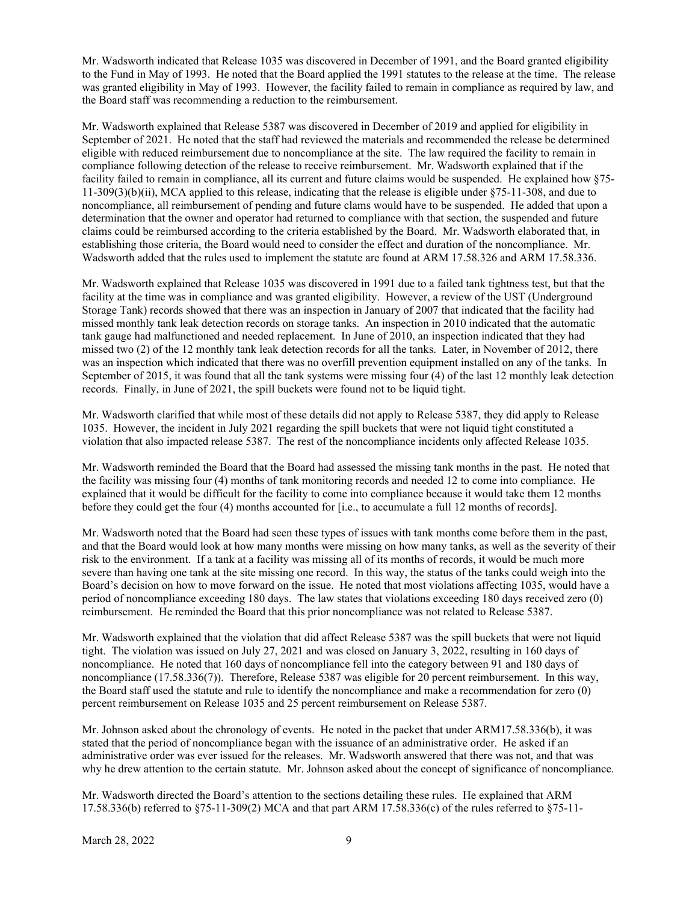Mr. Wadsworth indicated that Release 1035 was discovered in December of 1991, and the Board granted eligibility to the Fund in May of 1993. He noted that the Board applied the 1991 statutes to the release at the time. The release was granted eligibility in May of 1993. However, the facility failed to remain in compliance as required by law, and the Board staff was recommending a reduction to the reimbursement.

Mr. Wadsworth explained that Release 5387 was discovered in December of 2019 and applied for eligibility in September of 2021. He noted that the staff had reviewed the materials and recommended the release be determined eligible with reduced reimbursement due to noncompliance at the site. The law required the facility to remain in compliance following detection of the release to receive reimbursement. Mr. Wadsworth explained that if the facility failed to remain in compliance, all its current and future claims would be suspended. He explained how §75- 11-309(3)(b)(ii), MCA applied to this release, indicating that the release is eligible under §75-11-308, and due to noncompliance, all reimbursement of pending and future clams would have to be suspended. He added that upon a determination that the owner and operator had returned to compliance with that section, the suspended and future claims could be reimbursed according to the criteria established by the Board. Mr. Wadsworth elaborated that, in establishing those criteria, the Board would need to consider the effect and duration of the noncompliance. Mr. Wadsworth added that the rules used to implement the statute are found at ARM 17.58.326 and ARM 17.58.336.

Mr. Wadsworth explained that Release 1035 was discovered in 1991 due to a failed tank tightness test, but that the facility at the time was in compliance and was granted eligibility. However, a review of the UST (Underground Storage Tank) records showed that there was an inspection in January of 2007 that indicated that the facility had missed monthly tank leak detection records on storage tanks. An inspection in 2010 indicated that the automatic tank gauge had malfunctioned and needed replacement. In June of 2010, an inspection indicated that they had missed two (2) of the 12 monthly tank leak detection records for all the tanks. Later, in November of 2012, there was an inspection which indicated that there was no overfill prevention equipment installed on any of the tanks. In September of 2015, it was found that all the tank systems were missing four (4) of the last 12 monthly leak detection records. Finally, in June of 2021, the spill buckets were found not to be liquid tight.

Mr. Wadsworth clarified that while most of these details did not apply to Release 5387, they did apply to Release 1035. However, the incident in July 2021 regarding the spill buckets that were not liquid tight constituted a violation that also impacted release 5387. The rest of the noncompliance incidents only affected Release 1035.

Mr. Wadsworth reminded the Board that the Board had assessed the missing tank months in the past. He noted that the facility was missing four (4) months of tank monitoring records and needed 12 to come into compliance. He explained that it would be difficult for the facility to come into compliance because it would take them 12 months before they could get the four (4) months accounted for [i.e., to accumulate a full 12 months of records].

Mr. Wadsworth noted that the Board had seen these types of issues with tank months come before them in the past, and that the Board would look at how many months were missing on how many tanks, as well as the severity of their risk to the environment. If a tank at a facility was missing all of its months of records, it would be much more severe than having one tank at the site missing one record. In this way, the status of the tanks could weigh into the Board's decision on how to move forward on the issue. He noted that most violations affecting 1035, would have a period of noncompliance exceeding 180 days. The law states that violations exceeding 180 days received zero (0) reimbursement. He reminded the Board that this prior noncompliance was not related to Release 5387.

Mr. Wadsworth explained that the violation that did affect Release 5387 was the spill buckets that were not liquid tight. The violation was issued on July 27, 2021 and was closed on January 3, 2022, resulting in 160 days of noncompliance. He noted that 160 days of noncompliance fell into the category between 91 and 180 days of noncompliance (17.58.336(7)). Therefore, Release 5387 was eligible for 20 percent reimbursement. In this way, the Board staff used the statute and rule to identify the noncompliance and make a recommendation for zero (0) percent reimbursement on Release 1035 and 25 percent reimbursement on Release 5387.

Mr. Johnson asked about the chronology of events. He noted in the packet that under ARM17.58.336(b), it was stated that the period of noncompliance began with the issuance of an administrative order. He asked if an administrative order was ever issued for the releases. Mr. Wadsworth answered that there was not, and that was why he drew attention to the certain statute. Mr. Johnson asked about the concept of significance of noncompliance.

Mr. Wadsworth directed the Board's attention to the sections detailing these rules. He explained that ARM 17.58.336(b) referred to §75-11-309(2) MCA and that part ARM 17.58.336(c) of the rules referred to §75-11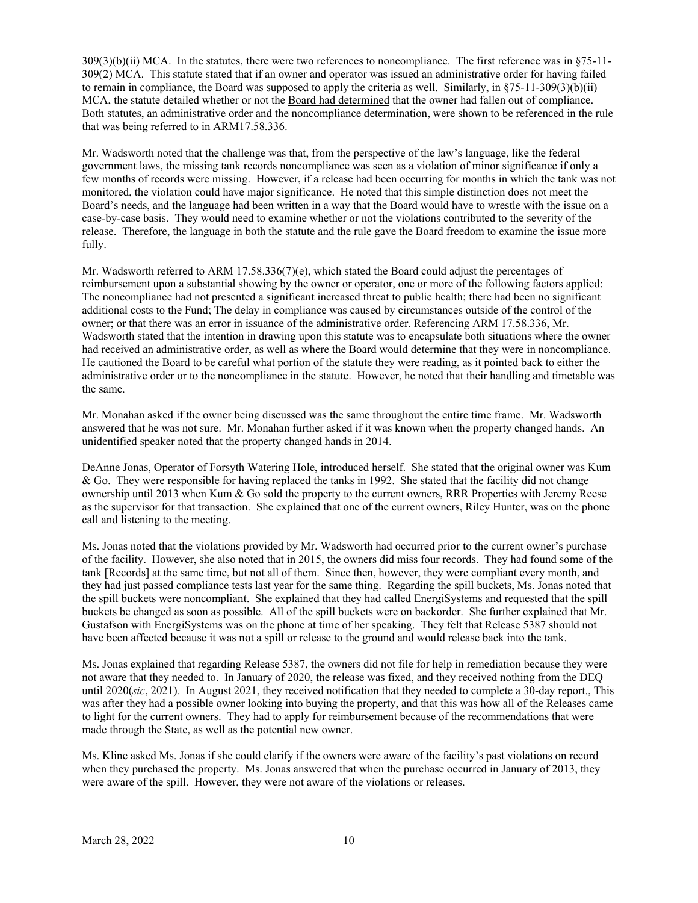309(3)(b)(ii) MCA. In the statutes, there were two references to noncompliance. The first reference was in §75-11- 309(2) MCA. This statute stated that if an owner and operator was issued an administrative order for having failed to remain in compliance, the Board was supposed to apply the criteria as well. Similarly, in §75-11-309(3)(b)(ii) MCA, the statute detailed whether or not the Board had determined that the owner had fallen out of compliance. Both statutes, an administrative order and the noncompliance determination, were shown to be referenced in the rule that was being referred to in ARM17.58.336.

Mr. Wadsworth noted that the challenge was that, from the perspective of the law's language, like the federal government laws, the missing tank records noncompliance was seen as a violation of minor significance if only a few months of records were missing. However, if a release had been occurring for months in which the tank was not monitored, the violation could have major significance. He noted that this simple distinction does not meet the Board's needs, and the language had been written in a way that the Board would have to wrestle with the issue on a case-by-case basis. They would need to examine whether or not the violations contributed to the severity of the release. Therefore, the language in both the statute and the rule gave the Board freedom to examine the issue more fully.

Mr. Wadsworth referred to ARM 17.58.336(7)(e), which stated the Board could adjust the percentages of reimbursement upon a substantial showing by the owner or operator, one or more of the following factors applied: The noncompliance had not presented a significant increased threat to public health; there had been no significant additional costs to the Fund; The delay in compliance was caused by circumstances outside of the control of the owner; or that there was an error in issuance of the administrative order. Referencing ARM 17.58.336, Mr. Wadsworth stated that the intention in drawing upon this statute was to encapsulate both situations where the owner had received an administrative order, as well as where the Board would determine that they were in noncompliance. He cautioned the Board to be careful what portion of the statute they were reading, as it pointed back to either the administrative order or to the noncompliance in the statute. However, he noted that their handling and timetable was the same.

Mr. Monahan asked if the owner being discussed was the same throughout the entire time frame. Mr. Wadsworth answered that he was not sure. Mr. Monahan further asked if it was known when the property changed hands. An unidentified speaker noted that the property changed hands in 2014.

DeAnne Jonas, Operator of Forsyth Watering Hole, introduced herself. She stated that the original owner was Kum & Go. They were responsible for having replaced the tanks in 1992. She stated that the facility did not change ownership until 2013 when Kum & Go sold the property to the current owners, RRR Properties with Jeremy Reese as the supervisor for that transaction. She explained that one of the current owners, Riley Hunter, was on the phone call and listening to the meeting.

Ms. Jonas noted that the violations provided by Mr. Wadsworth had occurred prior to the current owner's purchase of the facility. However, she also noted that in 2015, the owners did miss four records. They had found some of the tank [Records] at the same time, but not all of them. Since then, however, they were compliant every month, and they had just passed compliance tests last year for the same thing. Regarding the spill buckets, Ms. Jonas noted that the spill buckets were noncompliant. She explained that they had called EnergiSystems and requested that the spill buckets be changed as soon as possible. All of the spill buckets were on backorder. She further explained that Mr. Gustafson with EnergiSystems was on the phone at time of her speaking. They felt that Release 5387 should not have been affected because it was not a spill or release to the ground and would release back into the tank.

Ms. Jonas explained that regarding Release 5387, the owners did not file for help in remediation because they were not aware that they needed to. In January of 2020, the release was fixed, and they received nothing from the DEQ until 2020(*sic*, 2021). In August 2021, they received notification that they needed to complete a 30-day report., This was after they had a possible owner looking into buying the property, and that this was how all of the Releases came to light for the current owners. They had to apply for reimbursement because of the recommendations that were made through the State, as well as the potential new owner.

Ms. Kline asked Ms. Jonas if she could clarify if the owners were aware of the facility's past violations on record when they purchased the property. Ms. Jonas answered that when the purchase occurred in January of 2013, they were aware of the spill. However, they were not aware of the violations or releases.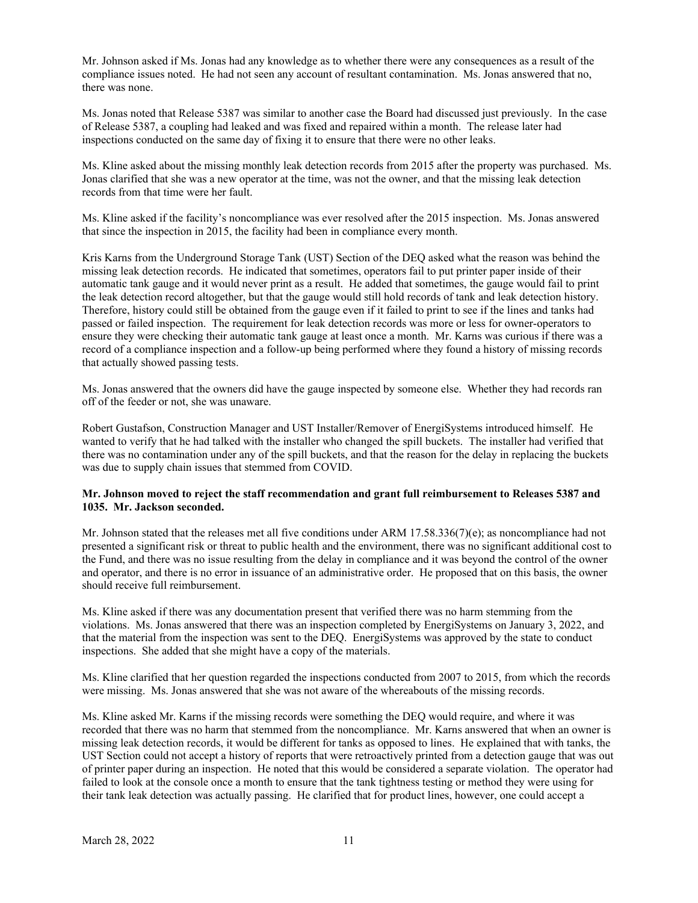Mr. Johnson asked if Ms. Jonas had any knowledge as to whether there were any consequences as a result of the compliance issues noted. He had not seen any account of resultant contamination. Ms. Jonas answered that no, there was none.

Ms. Jonas noted that Release 5387 was similar to another case the Board had discussed just previously. In the case of Release 5387, a coupling had leaked and was fixed and repaired within a month. The release later had inspections conducted on the same day of fixing it to ensure that there were no other leaks.

Ms. Kline asked about the missing monthly leak detection records from 2015 after the property was purchased. Ms. Jonas clarified that she was a new operator at the time, was not the owner, and that the missing leak detection records from that time were her fault.

Ms. Kline asked if the facility's noncompliance was ever resolved after the 2015 inspection. Ms. Jonas answered that since the inspection in 2015, the facility had been in compliance every month.

Kris Karns from the Underground Storage Tank (UST) Section of the DEQ asked what the reason was behind the missing leak detection records. He indicated that sometimes, operators fail to put printer paper inside of their automatic tank gauge and it would never print as a result. He added that sometimes, the gauge would fail to print the leak detection record altogether, but that the gauge would still hold records of tank and leak detection history. Therefore, history could still be obtained from the gauge even if it failed to print to see if the lines and tanks had passed or failed inspection. The requirement for leak detection records was more or less for owner-operators to ensure they were checking their automatic tank gauge at least once a month. Mr. Karns was curious if there was a record of a compliance inspection and a follow-up being performed where they found a history of missing records that actually showed passing tests.

Ms. Jonas answered that the owners did have the gauge inspected by someone else. Whether they had records ran off of the feeder or not, she was unaware.

Robert Gustafson, Construction Manager and UST Installer/Remover of EnergiSystems introduced himself. He wanted to verify that he had talked with the installer who changed the spill buckets. The installer had verified that there was no contamination under any of the spill buckets, and that the reason for the delay in replacing the buckets was due to supply chain issues that stemmed from COVID.

#### **Mr. Johnson moved to reject the staff recommendation and grant full reimbursement to Releases 5387 and 1035. Mr. Jackson seconded.**

Mr. Johnson stated that the releases met all five conditions under ARM 17.58.336(7)(e); as noncompliance had not presented a significant risk or threat to public health and the environment, there was no significant additional cost to the Fund, and there was no issue resulting from the delay in compliance and it was beyond the control of the owner and operator, and there is no error in issuance of an administrative order. He proposed that on this basis, the owner should receive full reimbursement.

Ms. Kline asked if there was any documentation present that verified there was no harm stemming from the violations. Ms. Jonas answered that there was an inspection completed by EnergiSystems on January 3, 2022, and that the material from the inspection was sent to the DEQ. EnergiSystems was approved by the state to conduct inspections. She added that she might have a copy of the materials.

Ms. Kline clarified that her question regarded the inspections conducted from 2007 to 2015, from which the records were missing. Ms. Jonas answered that she was not aware of the whereabouts of the missing records.

Ms. Kline asked Mr. Karns if the missing records were something the DEQ would require, and where it was recorded that there was no harm that stemmed from the noncompliance. Mr. Karns answered that when an owner is missing leak detection records, it would be different for tanks as opposed to lines. He explained that with tanks, the UST Section could not accept a history of reports that were retroactively printed from a detection gauge that was out of printer paper during an inspection. He noted that this would be considered a separate violation. The operator had failed to look at the console once a month to ensure that the tank tightness testing or method they were using for their tank leak detection was actually passing. He clarified that for product lines, however, one could accept a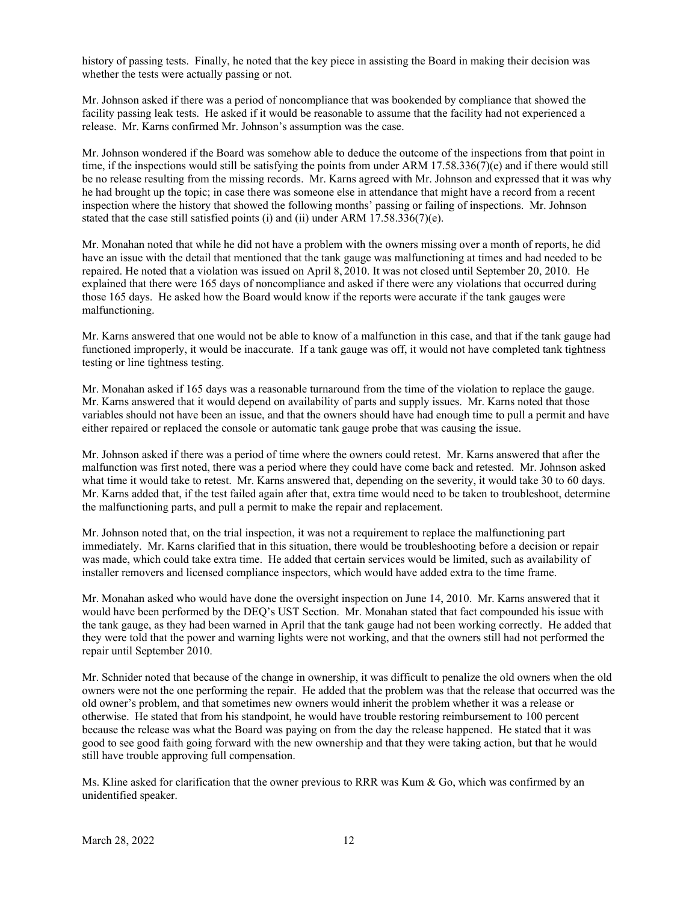history of passing tests. Finally, he noted that the key piece in assisting the Board in making their decision was whether the tests were actually passing or not.

Mr. Johnson asked if there was a period of noncompliance that was bookended by compliance that showed the facility passing leak tests. He asked if it would be reasonable to assume that the facility had not experienced a release. Mr. Karns confirmed Mr. Johnson's assumption was the case.

Mr. Johnson wondered if the Board was somehow able to deduce the outcome of the inspections from that point in time, if the inspections would still be satisfying the points from under ARM 17.58.336(7)(e) and if there would still be no release resulting from the missing records. Mr. Karns agreed with Mr. Johnson and expressed that it was why he had brought up the topic; in case there was someone else in attendance that might have a record from a recent inspection where the history that showed the following months' passing or failing of inspections. Mr. Johnson stated that the case still satisfied points (i) and (ii) under ARM 17.58.336(7)(e).

Mr. Monahan noted that while he did not have a problem with the owners missing over a month of reports, he did have an issue with the detail that mentioned that the tank gauge was malfunctioning at times and had needed to be repaired. He noted that a violation was issued on April 8, 2010. It was not closed until September 20, 2010. He explained that there were 165 days of noncompliance and asked if there were any violations that occurred during those 165 days. He asked how the Board would know if the reports were accurate if the tank gauges were malfunctioning.

Mr. Karns answered that one would not be able to know of a malfunction in this case, and that if the tank gauge had functioned improperly, it would be inaccurate. If a tank gauge was off, it would not have completed tank tightness testing or line tightness testing.

Mr. Monahan asked if 165 days was a reasonable turnaround from the time of the violation to replace the gauge. Mr. Karns answered that it would depend on availability of parts and supply issues. Mr. Karns noted that those variables should not have been an issue, and that the owners should have had enough time to pull a permit and have either repaired or replaced the console or automatic tank gauge probe that was causing the issue.

Mr. Johnson asked if there was a period of time where the owners could retest. Mr. Karns answered that after the malfunction was first noted, there was a period where they could have come back and retested. Mr. Johnson asked what time it would take to retest. Mr. Karns answered that, depending on the severity, it would take 30 to 60 days. Mr. Karns added that, if the test failed again after that, extra time would need to be taken to troubleshoot, determine the malfunctioning parts, and pull a permit to make the repair and replacement.

Mr. Johnson noted that, on the trial inspection, it was not a requirement to replace the malfunctioning part immediately. Mr. Karns clarified that in this situation, there would be troubleshooting before a decision or repair was made, which could take extra time. He added that certain services would be limited, such as availability of installer removers and licensed compliance inspectors, which would have added extra to the time frame.

Mr. Monahan asked who would have done the oversight inspection on June 14, 2010. Mr. Karns answered that it would have been performed by the DEQ's UST Section. Mr. Monahan stated that fact compounded his issue with the tank gauge, as they had been warned in April that the tank gauge had not been working correctly. He added that they were told that the power and warning lights were not working, and that the owners still had not performed the repair until September 2010.

Mr. Schnider noted that because of the change in ownership, it was difficult to penalize the old owners when the old owners were not the one performing the repair. He added that the problem was that the release that occurred was the old owner's problem, and that sometimes new owners would inherit the problem whether it was a release or otherwise. He stated that from his standpoint, he would have trouble restoring reimbursement to 100 percent because the release was what the Board was paying on from the day the release happened. He stated that it was good to see good faith going forward with the new ownership and that they were taking action, but that he would still have trouble approving full compensation.

Ms. Kline asked for clarification that the owner previous to RRR was Kum & Go, which was confirmed by an unidentified speaker.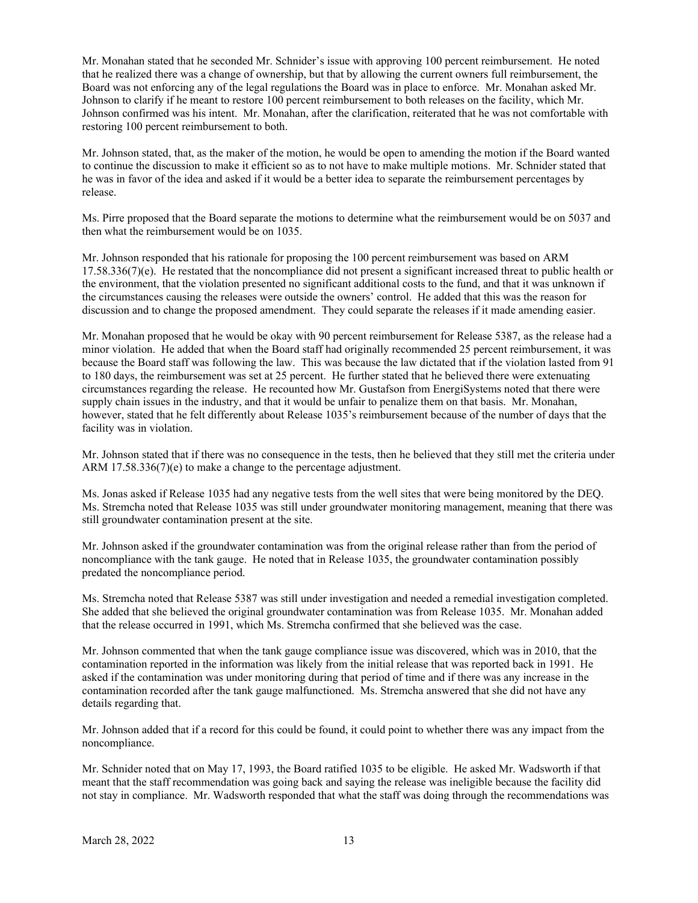Mr. Monahan stated that he seconded Mr. Schnider's issue with approving 100 percent reimbursement. He noted that he realized there was a change of ownership, but that by allowing the current owners full reimbursement, the Board was not enforcing any of the legal regulations the Board was in place to enforce. Mr. Monahan asked Mr. Johnson to clarify if he meant to restore 100 percent reimbursement to both releases on the facility, which Mr. Johnson confirmed was his intent. Mr. Monahan, after the clarification, reiterated that he was not comfortable with restoring 100 percent reimbursement to both.

Mr. Johnson stated, that, as the maker of the motion, he would be open to amending the motion if the Board wanted to continue the discussion to make it efficient so as to not have to make multiple motions. Mr. Schnider stated that he was in favor of the idea and asked if it would be a better idea to separate the reimbursement percentages by release.

Ms. Pirre proposed that the Board separate the motions to determine what the reimbursement would be on 5037 and then what the reimbursement would be on 1035.

Mr. Johnson responded that his rationale for proposing the 100 percent reimbursement was based on ARM  $17.58.336(7)(e)$ . He restated that the noncompliance did not present a significant increased threat to public health or the environment, that the violation presented no significant additional costs to the fund, and that it was unknown if the circumstances causing the releases were outside the owners' control. He added that this was the reason for discussion and to change the proposed amendment. They could separate the releases if it made amending easier.

Mr. Monahan proposed that he would be okay with 90 percent reimbursement for Release 5387, as the release had a minor violation. He added that when the Board staff had originally recommended 25 percent reimbursement, it was because the Board staff was following the law. This was because the law dictated that if the violation lasted from 91 to 180 days, the reimbursement was set at 25 percent. He further stated that he believed there were extenuating circumstances regarding the release. He recounted how Mr. Gustafson from EnergiSystems noted that there were supply chain issues in the industry, and that it would be unfair to penalize them on that basis. Mr. Monahan, however, stated that he felt differently about Release 1035's reimbursement because of the number of days that the facility was in violation.

Mr. Johnson stated that if there was no consequence in the tests, then he believed that they still met the criteria under ARM 17.58.336(7)(e) to make a change to the percentage adjustment.

Ms. Jonas asked if Release 1035 had any negative tests from the well sites that were being monitored by the DEQ. Ms. Stremcha noted that Release 1035 was still under groundwater monitoring management, meaning that there was still groundwater contamination present at the site.

Mr. Johnson asked if the groundwater contamination was from the original release rather than from the period of noncompliance with the tank gauge. He noted that in Release 1035, the groundwater contamination possibly predated the noncompliance period.

Ms. Stremcha noted that Release 5387 was still under investigation and needed a remedial investigation completed. She added that she believed the original groundwater contamination was from Release 1035. Mr. Monahan added that the release occurred in 1991, which Ms. Stremcha confirmed that she believed was the case.

Mr. Johnson commented that when the tank gauge compliance issue was discovered, which was in 2010, that the contamination reported in the information was likely from the initial release that was reported back in 1991. He asked if the contamination was under monitoring during that period of time and if there was any increase in the contamination recorded after the tank gauge malfunctioned. Ms. Stremcha answered that she did not have any details regarding that.

Mr. Johnson added that if a record for this could be found, it could point to whether there was any impact from the noncompliance.

Mr. Schnider noted that on May 17, 1993, the Board ratified 1035 to be eligible. He asked Mr. Wadsworth if that meant that the staff recommendation was going back and saying the release was ineligible because the facility did not stay in compliance. Mr. Wadsworth responded that what the staff was doing through the recommendations was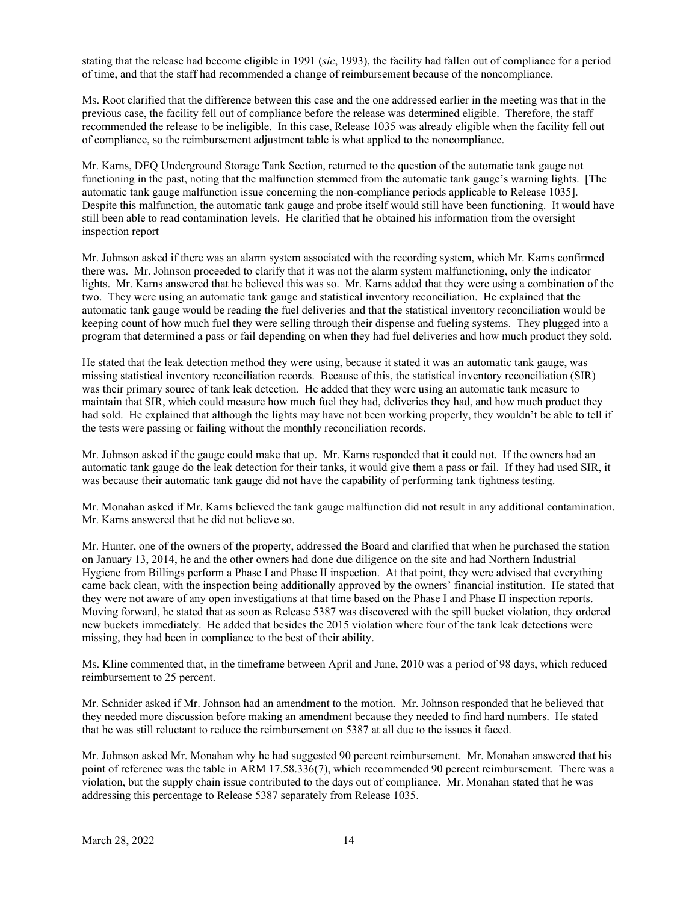stating that the release had become eligible in 1991 (*sic*, 1993), the facility had fallen out of compliance for a period of time, and that the staff had recommended a change of reimbursement because of the noncompliance.

Ms. Root clarified that the difference between this case and the one addressed earlier in the meeting was that in the previous case, the facility fell out of compliance before the release was determined eligible. Therefore, the staff recommended the release to be ineligible. In this case, Release 1035 was already eligible when the facility fell out of compliance, so the reimbursement adjustment table is what applied to the noncompliance.

Mr. Karns, DEQ Underground Storage Tank Section, returned to the question of the automatic tank gauge not functioning in the past, noting that the malfunction stemmed from the automatic tank gauge's warning lights. [The automatic tank gauge malfunction issue concerning the non-compliance periods applicable to Release 1035]. Despite this malfunction, the automatic tank gauge and probe itself would still have been functioning. It would have still been able to read contamination levels. He clarified that he obtained his information from the oversight inspection report

Mr. Johnson asked if there was an alarm system associated with the recording system, which Mr. Karns confirmed there was. Mr. Johnson proceeded to clarify that it was not the alarm system malfunctioning, only the indicator lights. Mr. Karns answered that he believed this was so. Mr. Karns added that they were using a combination of the two. They were using an automatic tank gauge and statistical inventory reconciliation. He explained that the automatic tank gauge would be reading the fuel deliveries and that the statistical inventory reconciliation would be keeping count of how much fuel they were selling through their dispense and fueling systems. They plugged into a program that determined a pass or fail depending on when they had fuel deliveries and how much product they sold.

He stated that the leak detection method they were using, because it stated it was an automatic tank gauge, was missing statistical inventory reconciliation records. Because of this, the statistical inventory reconciliation (SIR) was their primary source of tank leak detection. He added that they were using an automatic tank measure to maintain that SIR, which could measure how much fuel they had, deliveries they had, and how much product they had sold. He explained that although the lights may have not been working properly, they wouldn't be able to tell if the tests were passing or failing without the monthly reconciliation records.

Mr. Johnson asked if the gauge could make that up. Mr. Karns responded that it could not. If the owners had an automatic tank gauge do the leak detection for their tanks, it would give them a pass or fail. If they had used SIR, it was because their automatic tank gauge did not have the capability of performing tank tightness testing.

Mr. Monahan asked if Mr. Karns believed the tank gauge malfunction did not result in any additional contamination. Mr. Karns answered that he did not believe so.

Mr. Hunter, one of the owners of the property, addressed the Board and clarified that when he purchased the station on January 13, 2014, he and the other owners had done due diligence on the site and had Northern Industrial Hygiene from Billings perform a Phase I and Phase II inspection. At that point, they were advised that everything came back clean, with the inspection being additionally approved by the owners' financial institution. He stated that they were not aware of any open investigations at that time based on the Phase I and Phase II inspection reports. Moving forward, he stated that as soon as Release 5387 was discovered with the spill bucket violation, they ordered new buckets immediately. He added that besides the 2015 violation where four of the tank leak detections were missing, they had been in compliance to the best of their ability.

Ms. Kline commented that, in the timeframe between April and June, 2010 was a period of 98 days, which reduced reimbursement to 25 percent.

Mr. Schnider asked if Mr. Johnson had an amendment to the motion. Mr. Johnson responded that he believed that they needed more discussion before making an amendment because they needed to find hard numbers. He stated that he was still reluctant to reduce the reimbursement on 5387 at all due to the issues it faced.

Mr. Johnson asked Mr. Monahan why he had suggested 90 percent reimbursement. Mr. Monahan answered that his point of reference was the table in ARM 17.58.336(7), which recommended 90 percent reimbursement. There was a violation, but the supply chain issue contributed to the days out of compliance. Mr. Monahan stated that he was addressing this percentage to Release 5387 separately from Release 1035.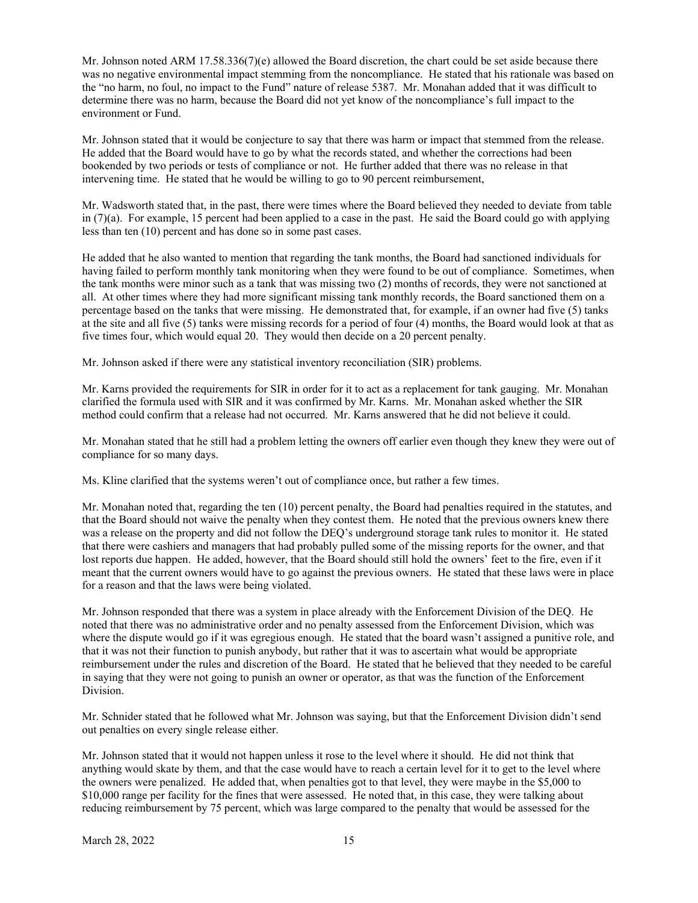Mr. Johnson noted ARM 17.58.336(7)(e) allowed the Board discretion, the chart could be set aside because there was no negative environmental impact stemming from the noncompliance. He stated that his rationale was based on the "no harm, no foul, no impact to the Fund" nature of release 5387. Mr. Monahan added that it was difficult to determine there was no harm, because the Board did not yet know of the noncompliance's full impact to the environment or Fund.

Mr. Johnson stated that it would be conjecture to say that there was harm or impact that stemmed from the release. He added that the Board would have to go by what the records stated, and whether the corrections had been bookended by two periods or tests of compliance or not. He further added that there was no release in that intervening time. He stated that he would be willing to go to 90 percent reimbursement,

Mr. Wadsworth stated that, in the past, there were times where the Board believed they needed to deviate from table in  $(7)(a)$ . For example, 15 percent had been applied to a case in the past. He said the Board could go with applying less than ten (10) percent and has done so in some past cases.

He added that he also wanted to mention that regarding the tank months, the Board had sanctioned individuals for having failed to perform monthly tank monitoring when they were found to be out of compliance. Sometimes, when the tank months were minor such as a tank that was missing two (2) months of records, they were not sanctioned at all. At other times where they had more significant missing tank monthly records, the Board sanctioned them on a percentage based on the tanks that were missing. He demonstrated that, for example, if an owner had five (5) tanks at the site and all five (5) tanks were missing records for a period of four (4) months, the Board would look at that as five times four, which would equal 20. They would then decide on a 20 percent penalty.

Mr. Johnson asked if there were any statistical inventory reconciliation (SIR) problems.

Mr. Karns provided the requirements for SIR in order for it to act as a replacement for tank gauging. Mr. Monahan clarified the formula used with SIR and it was confirmed by Mr. Karns. Mr. Monahan asked whether the SIR method could confirm that a release had not occurred. Mr. Karns answered that he did not believe it could.

Mr. Monahan stated that he still had a problem letting the owners off earlier even though they knew they were out of compliance for so many days.

Ms. Kline clarified that the systems weren't out of compliance once, but rather a few times.

Mr. Monahan noted that, regarding the ten (10) percent penalty, the Board had penalties required in the statutes, and that the Board should not waive the penalty when they contest them. He noted that the previous owners knew there was a release on the property and did not follow the DEQ's underground storage tank rules to monitor it. He stated that there were cashiers and managers that had probably pulled some of the missing reports for the owner, and that lost reports due happen. He added, however, that the Board should still hold the owners' feet to the fire, even if it meant that the current owners would have to go against the previous owners. He stated that these laws were in place for a reason and that the laws were being violated.

Mr. Johnson responded that there was a system in place already with the Enforcement Division of the DEQ. He noted that there was no administrative order and no penalty assessed from the Enforcement Division, which was where the dispute would go if it was egregious enough. He stated that the board wasn't assigned a punitive role, and that it was not their function to punish anybody, but rather that it was to ascertain what would be appropriate reimbursement under the rules and discretion of the Board. He stated that he believed that they needed to be careful in saying that they were not going to punish an owner or operator, as that was the function of the Enforcement Division.

Mr. Schnider stated that he followed what Mr. Johnson was saying, but that the Enforcement Division didn't send out penalties on every single release either.

Mr. Johnson stated that it would not happen unless it rose to the level where it should. He did not think that anything would skate by them, and that the case would have to reach a certain level for it to get to the level where the owners were penalized. He added that, when penalties got to that level, they were maybe in the \$5,000 to \$10,000 range per facility for the fines that were assessed. He noted that, in this case, they were talking about reducing reimbursement by 75 percent, which was large compared to the penalty that would be assessed for the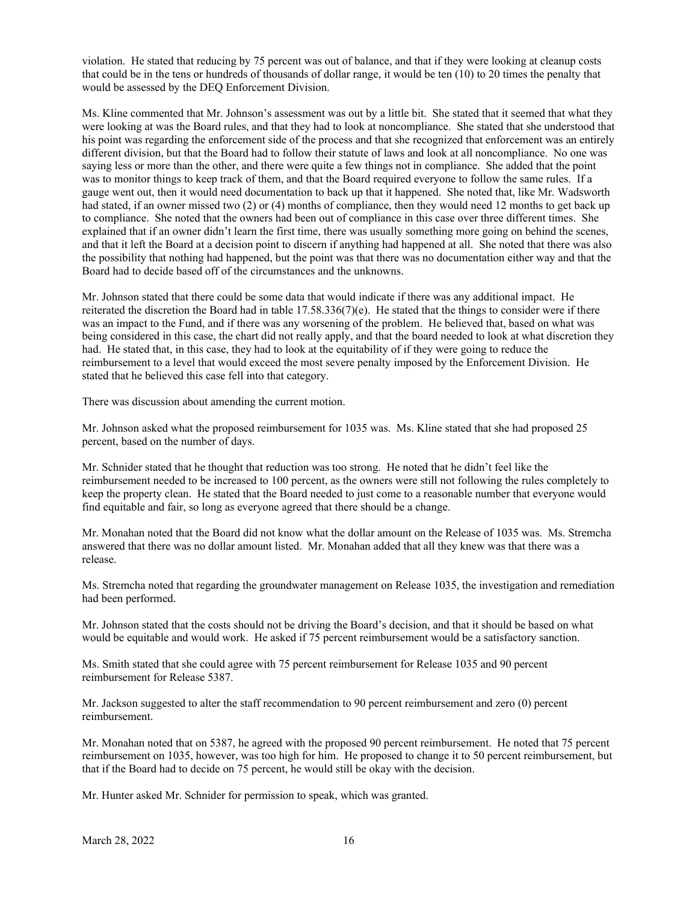violation. He stated that reducing by 75 percent was out of balance, and that if they were looking at cleanup costs that could be in the tens or hundreds of thousands of dollar range, it would be ten (10) to 20 times the penalty that would be assessed by the DEQ Enforcement Division.

Ms. Kline commented that Mr. Johnson's assessment was out by a little bit. She stated that it seemed that what they were looking at was the Board rules, and that they had to look at noncompliance. She stated that she understood that his point was regarding the enforcement side of the process and that she recognized that enforcement was an entirely different division, but that the Board had to follow their statute of laws and look at all noncompliance. No one was saying less or more than the other, and there were quite a few things not in compliance. She added that the point was to monitor things to keep track of them, and that the Board required everyone to follow the same rules. If a gauge went out, then it would need documentation to back up that it happened. She noted that, like Mr. Wadsworth had stated, if an owner missed two (2) or (4) months of compliance, then they would need 12 months to get back up to compliance. She noted that the owners had been out of compliance in this case over three different times. She explained that if an owner didn't learn the first time, there was usually something more going on behind the scenes, and that it left the Board at a decision point to discern if anything had happened at all. She noted that there was also the possibility that nothing had happened, but the point was that there was no documentation either way and that the Board had to decide based off of the circumstances and the unknowns.

Mr. Johnson stated that there could be some data that would indicate if there was any additional impact. He reiterated the discretion the Board had in table  $17.58.336(7)(e)$ . He stated that the things to consider were if there was an impact to the Fund, and if there was any worsening of the problem. He believed that, based on what was being considered in this case, the chart did not really apply, and that the board needed to look at what discretion they had. He stated that, in this case, they had to look at the equitability of if they were going to reduce the reimbursement to a level that would exceed the most severe penalty imposed by the Enforcement Division. He stated that he believed this case fell into that category.

There was discussion about amending the current motion.

Mr. Johnson asked what the proposed reimbursement for 1035 was. Ms. Kline stated that she had proposed 25 percent, based on the number of days.

Mr. Schnider stated that he thought that reduction was too strong. He noted that he didn't feel like the reimbursement needed to be increased to 100 percent, as the owners were still not following the rules completely to keep the property clean. He stated that the Board needed to just come to a reasonable number that everyone would find equitable and fair, so long as everyone agreed that there should be a change.

Mr. Monahan noted that the Board did not know what the dollar amount on the Release of 1035 was. Ms. Stremcha answered that there was no dollar amount listed. Mr. Monahan added that all they knew was that there was a release.

Ms. Stremcha noted that regarding the groundwater management on Release 1035, the investigation and remediation had been performed.

Mr. Johnson stated that the costs should not be driving the Board's decision, and that it should be based on what would be equitable and would work. He asked if 75 percent reimbursement would be a satisfactory sanction.

Ms. Smith stated that she could agree with 75 percent reimbursement for Release 1035 and 90 percent reimbursement for Release 5387.

Mr. Jackson suggested to alter the staff recommendation to 90 percent reimbursement and zero (0) percent reimbursement.

Mr. Monahan noted that on 5387, he agreed with the proposed 90 percent reimbursement. He noted that 75 percent reimbursement on 1035, however, was too high for him. He proposed to change it to 50 percent reimbursement, but that if the Board had to decide on 75 percent, he would still be okay with the decision.

Mr. Hunter asked Mr. Schnider for permission to speak, which was granted.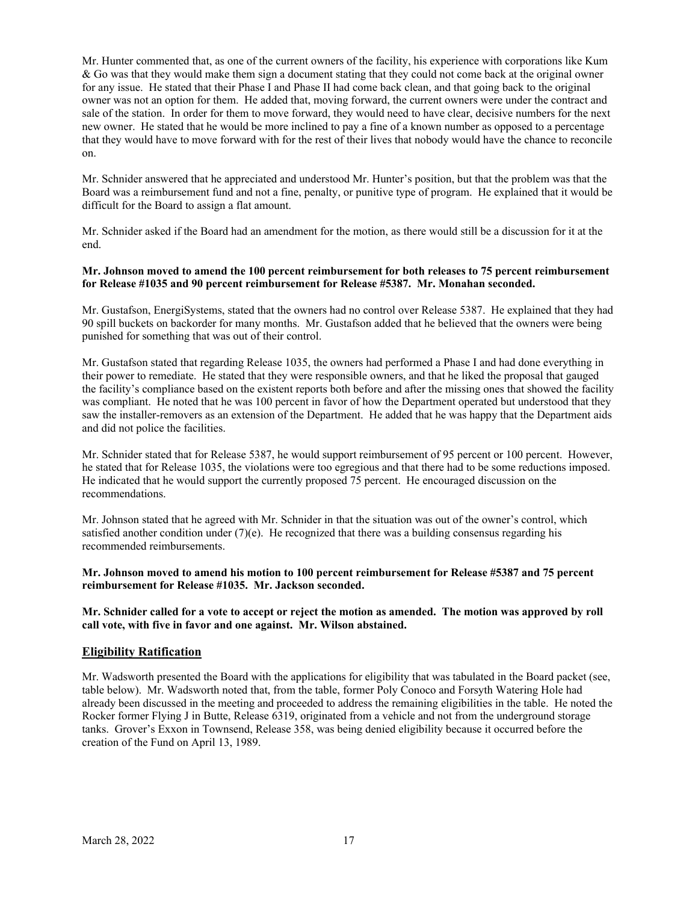Mr. Hunter commented that, as one of the current owners of the facility, his experience with corporations like Kum & Go was that they would make them sign a document stating that they could not come back at the original owner for any issue. He stated that their Phase I and Phase II had come back clean, and that going back to the original owner was not an option for them. He added that, moving forward, the current owners were under the contract and sale of the station. In order for them to move forward, they would need to have clear, decisive numbers for the next new owner. He stated that he would be more inclined to pay a fine of a known number as opposed to a percentage that they would have to move forward with for the rest of their lives that nobody would have the chance to reconcile on.

Mr. Schnider answered that he appreciated and understood Mr. Hunter's position, but that the problem was that the Board was a reimbursement fund and not a fine, penalty, or punitive type of program. He explained that it would be difficult for the Board to assign a flat amount.

Mr. Schnider asked if the Board had an amendment for the motion, as there would still be a discussion for it at the end.

### **Mr. Johnson moved to amend the 100 percent reimbursement for both releases to 75 percent reimbursement for Release #1035 and 90 percent reimbursement for Release #5387. Mr. Monahan seconded.**

Mr. Gustafson, EnergiSystems, stated that the owners had no control over Release 5387. He explained that they had 90 spill buckets on backorder for many months. Mr. Gustafson added that he believed that the owners were being punished for something that was out of their control.

Mr. Gustafson stated that regarding Release 1035, the owners had performed a Phase I and had done everything in their power to remediate. He stated that they were responsible owners, and that he liked the proposal that gauged the facility's compliance based on the existent reports both before and after the missing ones that showed the facility was compliant. He noted that he was 100 percent in favor of how the Department operated but understood that they saw the installer-removers as an extension of the Department. He added that he was happy that the Department aids and did not police the facilities.

Mr. Schnider stated that for Release 5387, he would support reimbursement of 95 percent or 100 percent. However, he stated that for Release 1035, the violations were too egregious and that there had to be some reductions imposed. He indicated that he would support the currently proposed 75 percent. He encouraged discussion on the recommendations.

Mr. Johnson stated that he agreed with Mr. Schnider in that the situation was out of the owner's control, which satisfied another condition under  $(7)(e)$ . He recognized that there was a building consensus regarding his recommended reimbursements.

### **Mr. Johnson moved to amend his motion to 100 percent reimbursement for Release #5387 and 75 percent reimbursement for Release #1035. Mr. Jackson seconded.**

**Mr. Schnider called for a vote to accept or reject the motion as amended. The motion was approved by roll call vote, with five in favor and one against. Mr. Wilson abstained.** 

## **Eligibility Ratification**

Mr. Wadsworth presented the Board with the applications for eligibility that was tabulated in the Board packet (see, table below). Mr. Wadsworth noted that, from the table, former Poly Conoco and Forsyth Watering Hole had already been discussed in the meeting and proceeded to address the remaining eligibilities in the table. He noted the Rocker former Flying J in Butte, Release 6319, originated from a vehicle and not from the underground storage tanks. Grover's Exxon in Townsend, Release 358, was being denied eligibility because it occurred before the creation of the Fund on April 13, 1989.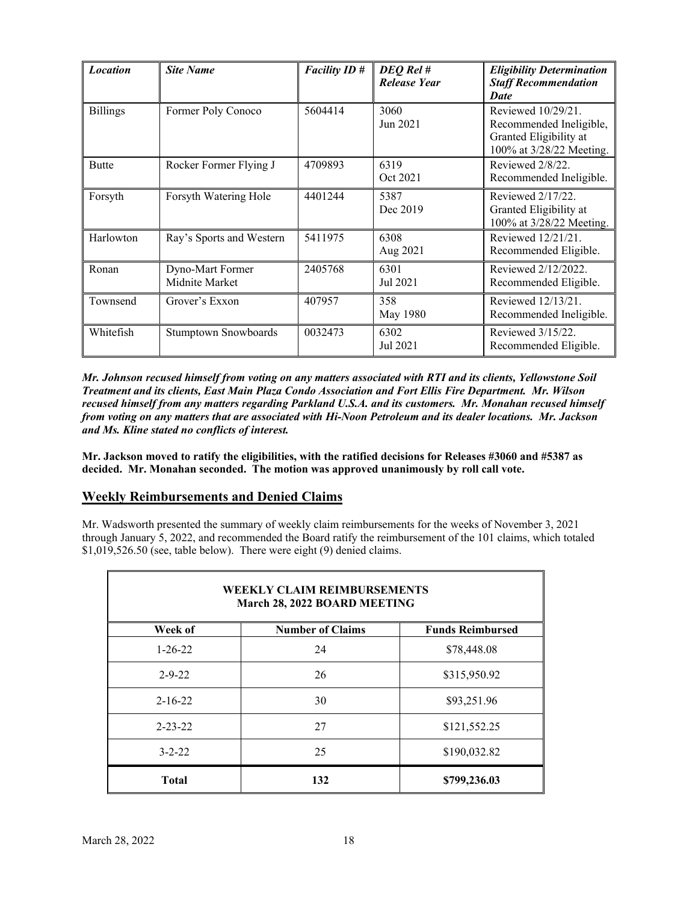| <b>Location</b> | <b>Site Name</b>                   | <b>Facility ID#</b> | DEQ Rel #<br><b>Release Year</b> | <b>Eligibility Determination</b><br><b>Staff Recommendation</b><br>Date                             |  |
|-----------------|------------------------------------|---------------------|----------------------------------|-----------------------------------------------------------------------------------------------------|--|
| <b>Billings</b> | Former Poly Conoco                 | 5604414             | 3060<br>Jun 2021                 | Reviewed 10/29/21.<br>Recommended Ineligible,<br>Granted Eligibility at<br>100% at 3/28/22 Meeting. |  |
| <b>Butte</b>    | Rocker Former Flying J             | 4709893             | 6319<br>Oct 2021                 | Reviewed 2/8/22.<br>Recommended Ineligible.                                                         |  |
| Forsyth         | Forsyth Watering Hole              | 4401244             | 5387<br>Dec 2019                 | Reviewed 2/17/22.<br>Granted Eligibility at<br>100% at 3/28/22 Meeting.                             |  |
| Harlowton       | Ray's Sports and Western           | 5411975             | 6308<br>Aug 2021                 | Reviewed 12/21/21.<br>Recommended Eligible.                                                         |  |
| Ronan           | Dyno-Mart Former<br>Midnite Market | 2405768             | 6301<br>Jul 2021                 | Reviewed 2/12/2022.<br>Recommended Eligible.                                                        |  |
| Townsend        | Grover's Exxon                     | 407957              | 358<br>May 1980                  | Reviewed 12/13/21.<br>Recommended Ineligible.                                                       |  |
| Whitefish       | <b>Stumptown Snowboards</b>        | 0032473             | 6302<br>Jul 2021                 | Reviewed 3/15/22.<br>Recommended Eligible.                                                          |  |

*Mr. Johnson recused himself from voting on any matters associated with RTI and its clients, Yellowstone Soil Treatment and its clients, East Main Plaza Condo Association and Fort Ellis Fire Department. Mr. Wilson recused himself from any matters regarding Parkland U.S.A. and its customers. Mr. Monahan recused himself from voting on any matters that are associated with Hi-Noon Petroleum and its dealer locations. Mr. Jackson and Ms. Kline stated no conflicts of interest.* 

**Mr. Jackson moved to ratify the eligibilities, with the ratified decisions for Releases #3060 and #5387 as decided. Mr. Monahan seconded. The motion was approved unanimously by roll call vote.** 

# **Weekly Reimbursements and Denied Claims**

Mr. Wadsworth presented the summary of weekly claim reimbursements for the weeks of November 3, 2021 through January 5, 2022, and recommended the Board ratify the reimbursement of the 101 claims, which totaled \$1,019,526.50 (see, table below). There were eight (9) denied claims.

| <b>WEEKLY CLAIM REIMBURSEMENTS</b><br>March 28, 2022 BOARD MEETING |                         |                         |  |  |  |  |  |  |
|--------------------------------------------------------------------|-------------------------|-------------------------|--|--|--|--|--|--|
| Week of                                                            | <b>Number of Claims</b> | <b>Funds Reimbursed</b> |  |  |  |  |  |  |
| $1 - 26 - 22$                                                      | 24                      | \$78,448.08             |  |  |  |  |  |  |
| $2 - 9 - 22$                                                       | 26                      | \$315,950.92            |  |  |  |  |  |  |
| $2 - 16 - 22$                                                      | 30                      | \$93,251.96             |  |  |  |  |  |  |
| $2 - 23 - 22$                                                      | 27                      | \$121,552.25            |  |  |  |  |  |  |
| $3 - 2 - 22$                                                       | 25                      | \$190,032.82            |  |  |  |  |  |  |
| <b>Total</b>                                                       | 132                     | \$799,236.03            |  |  |  |  |  |  |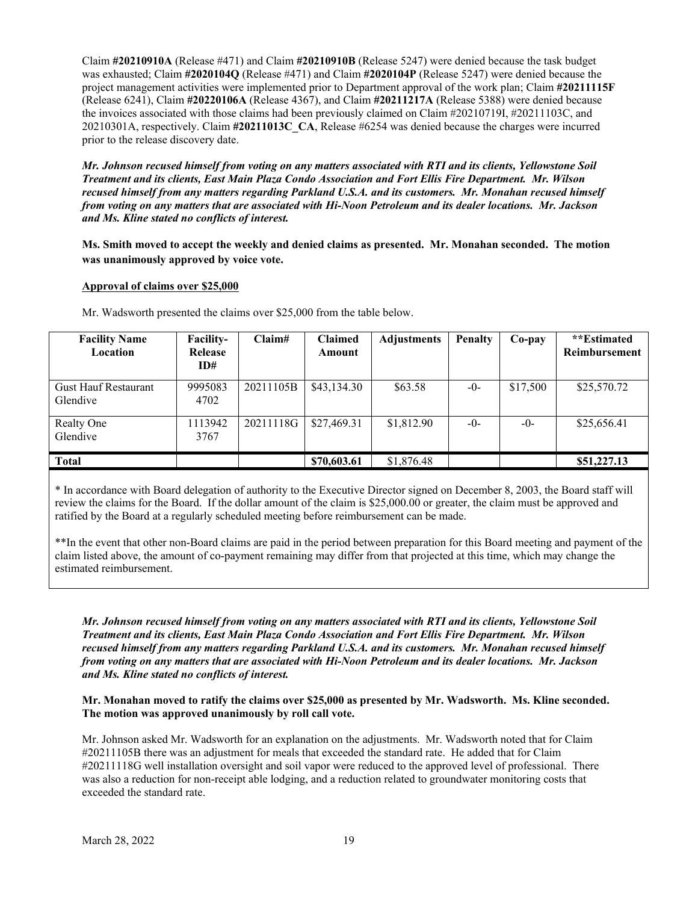Claim **#20210910A** (Release #471) and Claim **#20210910B** (Release 5247) were denied because the task budget was exhausted; Claim **#2020104Q** (Release #471) and Claim **#2020104P** (Release 5247) were denied because the project management activities were implemented prior to Department approval of the work plan; Claim **#20211115F** (Release 6241), Claim **#20220106A** (Release 4367), and Claim **#20211217A** (Release 5388) were denied because the invoices associated with those claims had been previously claimed on Claim #20210719I, #20211103C, and 20210301A, respectively. Claim **#20211013C\_CA**, Release #6254 was denied because the charges were incurred prior to the release discovery date.

*Mr. Johnson recused himself from voting on any matters associated with RTI and its clients, Yellowstone Soil Treatment and its clients, East Main Plaza Condo Association and Fort Ellis Fire Department. Mr. Wilson recused himself from any matters regarding Parkland U.S.A. and its customers. Mr. Monahan recused himself from voting on any matters that are associated with Hi-Noon Petroleum and its dealer locations. Mr. Jackson and Ms. Kline stated no conflicts of interest.* 

**Ms. Smith moved to accept the weekly and denied claims as presented. Mr. Monahan seconded. The motion was unanimously approved by voice vote.** 

### **Approval of claims over \$25,000**

| <b>Facility Name</b><br>Location        | <b>Facility-</b><br>Release<br>ID# | Claim#    | <b>Claimed</b><br>Amount | <b>Adjustments</b> | <b>Penalty</b> | Co-pay   | **Estimated<br>Reimbursement |
|-----------------------------------------|------------------------------------|-----------|--------------------------|--------------------|----------------|----------|------------------------------|
| <b>Gust Hauf Restaurant</b><br>Glendive | 9995083<br>4702                    | 20211105B | \$43,134.30              | \$63.58            | $-0-$          | \$17,500 | \$25,570.72                  |
| Realty One<br>Glendive                  | 1113942<br>3767                    | 20211118G | \$27,469.31              | \$1,812.90         | $-0-$          | $-0-$    | \$25,656.41                  |
| <b>Total</b>                            |                                    |           | \$70,603.61              | \$1,876.48         |                |          | \$51,227.13                  |

Mr. Wadsworth presented the claims over \$25,000 from the table below.

\* In accordance with Board delegation of authority to the Executive Director signed on December 8, 2003, the Board staff will review the claims for the Board. If the dollar amount of the claim is \$25,000.00 or greater, the claim must be approved and ratified by the Board at a regularly scheduled meeting before reimbursement can be made.

\*\*In the event that other non-Board claims are paid in the period between preparation for this Board meeting and payment of the claim listed above, the amount of co-payment remaining may differ from that projected at this time, which may change the estimated reimbursement.

*Mr. Johnson recused himself from voting on any matters associated with RTI and its clients, Yellowstone Soil Treatment and its clients, East Main Plaza Condo Association and Fort Ellis Fire Department. Mr. Wilson recused himself from any matters regarding Parkland U.S.A. and its customers. Mr. Monahan recused himself from voting on any matters that are associated with Hi-Noon Petroleum and its dealer locations. Mr. Jackson and Ms. Kline stated no conflicts of interest.* 

**Mr. Monahan moved to ratify the claims over \$25,000 as presented by Mr. Wadsworth. Ms. Kline seconded. The motion was approved unanimously by roll call vote.** 

Mr. Johnson asked Mr. Wadsworth for an explanation on the adjustments. Mr. Wadsworth noted that for Claim #20211105B there was an adjustment for meals that exceeded the standard rate. He added that for Claim #20211118G well installation oversight and soil vapor were reduced to the approved level of professional. There was also a reduction for non-receipt able lodging, and a reduction related to groundwater monitoring costs that exceeded the standard rate.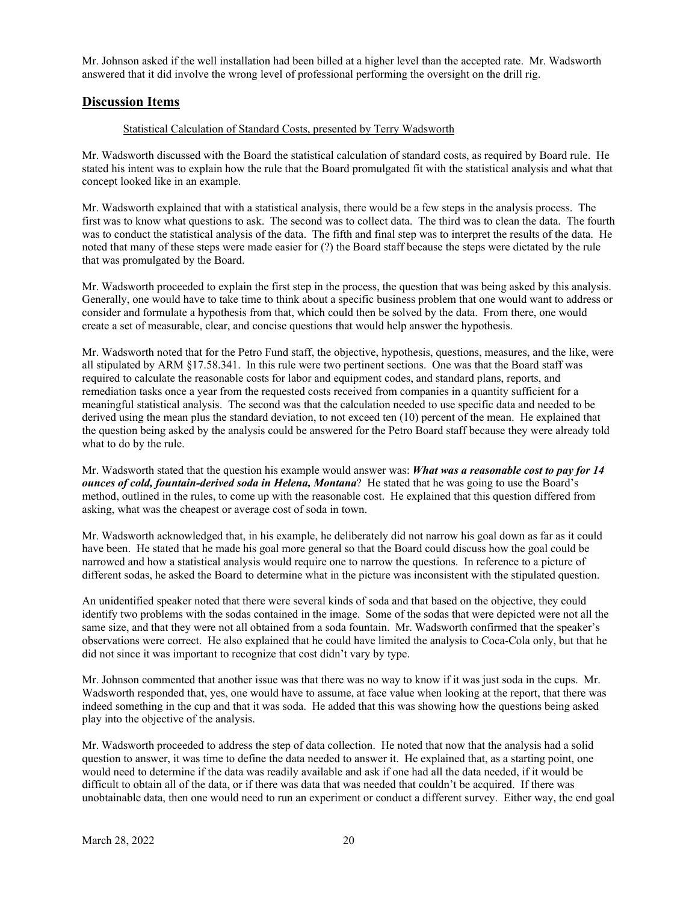Mr. Johnson asked if the well installation had been billed at a higher level than the accepted rate. Mr. Wadsworth answered that it did involve the wrong level of professional performing the oversight on the drill rig.

# **Discussion Items**

#### Statistical Calculation of Standard Costs, presented by Terry Wadsworth

Mr. Wadsworth discussed with the Board the statistical calculation of standard costs, as required by Board rule. He stated his intent was to explain how the rule that the Board promulgated fit with the statistical analysis and what that concept looked like in an example.

Mr. Wadsworth explained that with a statistical analysis, there would be a few steps in the analysis process. The first was to know what questions to ask. The second was to collect data. The third was to clean the data. The fourth was to conduct the statistical analysis of the data. The fifth and final step was to interpret the results of the data. He noted that many of these steps were made easier for (?) the Board staff because the steps were dictated by the rule that was promulgated by the Board.

Mr. Wadsworth proceeded to explain the first step in the process, the question that was being asked by this analysis. Generally, one would have to take time to think about a specific business problem that one would want to address or consider and formulate a hypothesis from that, which could then be solved by the data. From there, one would create a set of measurable, clear, and concise questions that would help answer the hypothesis.

Mr. Wadsworth noted that for the Petro Fund staff, the objective, hypothesis, questions, measures, and the like, were all stipulated by ARM §17.58.341. In this rule were two pertinent sections. One was that the Board staff was required to calculate the reasonable costs for labor and equipment codes, and standard plans, reports, and remediation tasks once a year from the requested costs received from companies in a quantity sufficient for a meaningful statistical analysis. The second was that the calculation needed to use specific data and needed to be derived using the mean plus the standard deviation, to not exceed ten (10) percent of the mean. He explained that the question being asked by the analysis could be answered for the Petro Board staff because they were already told what to do by the rule.

Mr. Wadsworth stated that the question his example would answer was: *What was a reasonable cost to pay for 14 ounces of cold, fountain-derived soda in Helena, Montana*? He stated that he was going to use the Board's method, outlined in the rules, to come up with the reasonable cost. He explained that this question differed from asking, what was the cheapest or average cost of soda in town.

Mr. Wadsworth acknowledged that, in his example, he deliberately did not narrow his goal down as far as it could have been. He stated that he made his goal more general so that the Board could discuss how the goal could be narrowed and how a statistical analysis would require one to narrow the questions. In reference to a picture of different sodas, he asked the Board to determine what in the picture was inconsistent with the stipulated question.

An unidentified speaker noted that there were several kinds of soda and that based on the objective, they could identify two problems with the sodas contained in the image. Some of the sodas that were depicted were not all the same size, and that they were not all obtained from a soda fountain. Mr. Wadsworth confirmed that the speaker's observations were correct. He also explained that he could have limited the analysis to Coca-Cola only, but that he did not since it was important to recognize that cost didn't vary by type.

Mr. Johnson commented that another issue was that there was no way to know if it was just soda in the cups. Mr. Wadsworth responded that, yes, one would have to assume, at face value when looking at the report, that there was indeed something in the cup and that it was soda. He added that this was showing how the questions being asked play into the objective of the analysis.

Mr. Wadsworth proceeded to address the step of data collection. He noted that now that the analysis had a solid question to answer, it was time to define the data needed to answer it. He explained that, as a starting point, one would need to determine if the data was readily available and ask if one had all the data needed, if it would be difficult to obtain all of the data, or if there was data that was needed that couldn't be acquired. If there was unobtainable data, then one would need to run an experiment or conduct a different survey. Either way, the end goal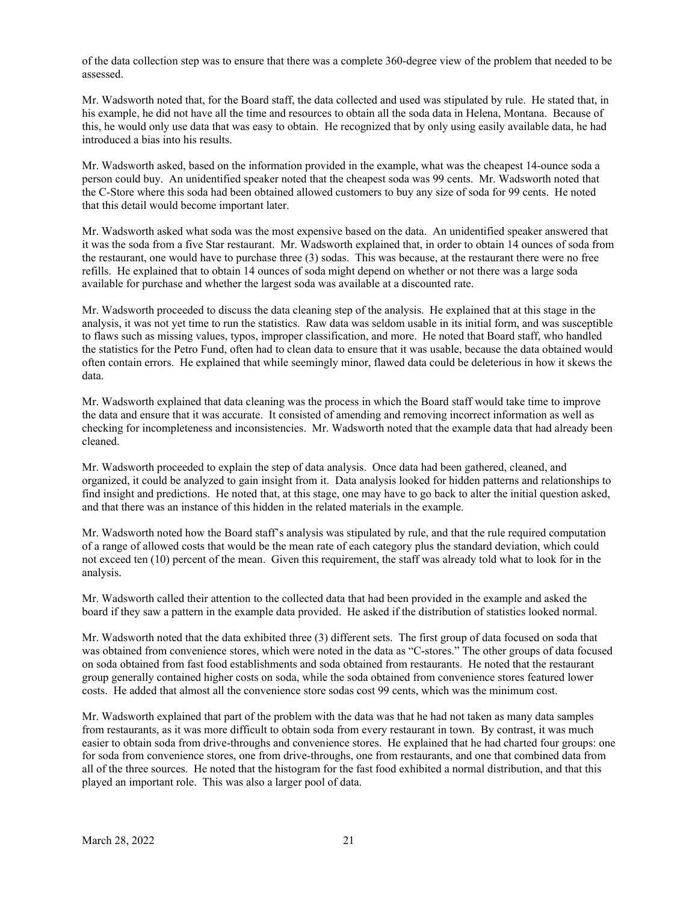of the data collection step was to ensure that there was a complete 360-degree view of the problem that needed to be assessed.

Mr. Wadsworth noted that, for the Board staff, the data collected and used was stipulated by rule. He stated that, in his example, he did not have all the time and resources to obtain all the soda data in Helena, Montana. Because of this, he would only use data that was easy to obtain. He recognized that by only using easily available data, he had introduced a bias into his results.

Mr. Wadsworth asked, based on the information provided in the example, what was the cheapest 14-ounce soda a person could buy. An unidentified speaker noted that the cheapest soda was 99 cents. Mr. Wadsworth noted that the C-Store where this soda had been obtained allowed customers to buy any size of soda for 99 cents. He noted that this detail would become important later.

Mr. Wadsworth asked what soda was the most expensive based on the data. An unidentified speaker answered that it was the soda from a five Star restaurant. Mr. Wadsworth explained that, in order to obtain 14 ounces of soda from the restaurant, one would have to purchase three (3) sodas. This was because, at the restaurant there were no free refills. He explained that to obtain 14 ounces of soda might depend on whether or not there was a large soda available for purchase and whether the largest soda was available at a discounted rate.

Mr. Wadsworth proceeded to discuss the data cleaning step of the analysis. He explained that at this stage in the analysis, it was not yet time to run the statistics. Raw data was seldom usable in its initial form, and was susceptible to flaws such as missing values, typos, improper classification, and more. He noted that Board staff, who handled the statistics for the Petro Fund, often had to clean data to ensure that it was usable, because the data obtained would often contain errors. He explained that while seemingly minor, flawed data could be deleterious in how it skews the data.

Mr. Wadsworth explained that data cleaning was the process in which the Board staff would take time to improve the data and ensure that it was accurate. It consisted of amending and removing incorrect information as well as checking for incompleteness and inconsistencies. Mr. Wadsworth noted that the example data that had already been cleaned.

Mr. Wadsworth proceeded to explain the step of data analysis. Once data had been gathered, cleaned, and organized, it could be analyzed to gain insight from it. Data analysis looked for hidden patterns and relationships to find insight and predictions. He noted that, at this stage, one may have to go back to alter the initial question asked, and that there was an instance of this hidden in the related materials in the example.

Mr. Wadsworth noted how the Board staff's analysis was stipulated by rule, and that the rule required computation of a range of allowed costs that would be the mean rate of each category plus the standard deviation, which could not exceed ten (10) percent of the mean. Given this requirement, the staff was already told what to look for in the analysis.

Mr. Wadsworth called their attention to the collected data that had been provided in the example and asked the board if they saw a pattern in the example data provided. He asked if the distribution of statistics looked normal.

Mr. Wadsworth noted that the data exhibited three (3) different sets. The first group of data focused on soda that was obtained from convenience stores, which were noted in the data as "C-stores." The other groups of data focused on soda obtained from fast food establishments and soda obtained from restaurants. He noted that the restaurant group generally contained higher costs on soda, while the soda obtained from convenience stores featured lower costs. He added that almost all the convenience store sodas cost 99 cents, which was the minimum cost.

Mr. Wadsworth explained that part of the problem with the data was that he had not taken as many data samples from restaurants, as it was more difficult to obtain soda from every restaurant in town. By contrast, it was much easier to obtain soda from drive-throughs and convenience stores. He explained that he had charted four groups: one for soda from convenience stores, one from drive-throughs, one from restaurants, and one that combined data from all of the three sources. He noted that the histogram for the fast food exhibited a normal distribution, and that this played an important role. This was also a larger pool of data.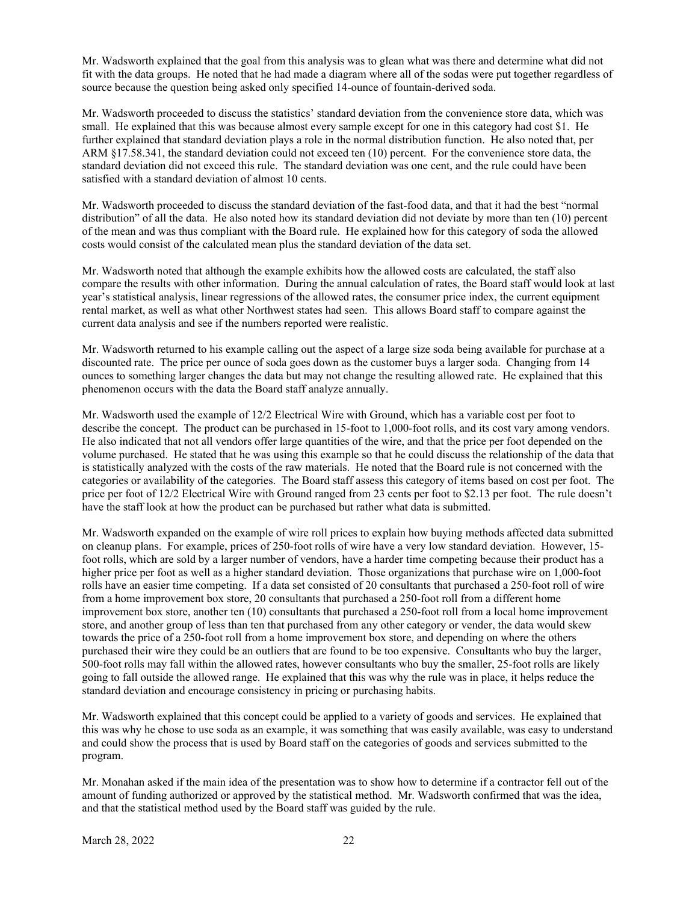Mr. Wadsworth explained that the goal from this analysis was to glean what was there and determine what did not fit with the data groups. He noted that he had made a diagram where all of the sodas were put together regardless of source because the question being asked only specified 14-ounce of fountain-derived soda.

Mr. Wadsworth proceeded to discuss the statistics' standard deviation from the convenience store data, which was small. He explained that this was because almost every sample except for one in this category had cost \$1. He further explained that standard deviation plays a role in the normal distribution function. He also noted that, per ARM §17.58.341, the standard deviation could not exceed ten (10) percent. For the convenience store data, the standard deviation did not exceed this rule. The standard deviation was one cent, and the rule could have been satisfied with a standard deviation of almost 10 cents.

Mr. Wadsworth proceeded to discuss the standard deviation of the fast-food data, and that it had the best "normal distribution" of all the data. He also noted how its standard deviation did not deviate by more than ten (10) percent of the mean and was thus compliant with the Board rule. He explained how for this category of soda the allowed costs would consist of the calculated mean plus the standard deviation of the data set.

Mr. Wadsworth noted that although the example exhibits how the allowed costs are calculated, the staff also compare the results with other information. During the annual calculation of rates, the Board staff would look at last year's statistical analysis, linear regressions of the allowed rates, the consumer price index, the current equipment rental market, as well as what other Northwest states had seen. This allows Board staff to compare against the current data analysis and see if the numbers reported were realistic.

Mr. Wadsworth returned to his example calling out the aspect of a large size soda being available for purchase at a discounted rate. The price per ounce of soda goes down as the customer buys a larger soda. Changing from 14 ounces to something larger changes the data but may not change the resulting allowed rate. He explained that this phenomenon occurs with the data the Board staff analyze annually.

Mr. Wadsworth used the example of 12/2 Electrical Wire with Ground, which has a variable cost per foot to describe the concept. The product can be purchased in 15-foot to 1,000-foot rolls, and its cost vary among vendors. He also indicated that not all vendors offer large quantities of the wire, and that the price per foot depended on the volume purchased. He stated that he was using this example so that he could discuss the relationship of the data that is statistically analyzed with the costs of the raw materials. He noted that the Board rule is not concerned with the categories or availability of the categories. The Board staff assess this category of items based on cost per foot. The price per foot of 12/2 Electrical Wire with Ground ranged from 23 cents per foot to \$2.13 per foot. The rule doesn't have the staff look at how the product can be purchased but rather what data is submitted.

Mr. Wadsworth expanded on the example of wire roll prices to explain how buying methods affected data submitted on cleanup plans. For example, prices of 250-foot rolls of wire have a very low standard deviation. However, 15 foot rolls, which are sold by a larger number of vendors, have a harder time competing because their product has a higher price per foot as well as a higher standard deviation. Those organizations that purchase wire on 1,000-foot rolls have an easier time competing. If a data set consisted of 20 consultants that purchased a 250-foot roll of wire from a home improvement box store, 20 consultants that purchased a 250-foot roll from a different home improvement box store, another ten (10) consultants that purchased a 250-foot roll from a local home improvement store, and another group of less than ten that purchased from any other category or vender, the data would skew towards the price of a 250-foot roll from a home improvement box store, and depending on where the others purchased their wire they could be an outliers that are found to be too expensive. Consultants who buy the larger, 500-foot rolls may fall within the allowed rates, however consultants who buy the smaller, 25-foot rolls are likely going to fall outside the allowed range. He explained that this was why the rule was in place, it helps reduce the standard deviation and encourage consistency in pricing or purchasing habits.

Mr. Wadsworth explained that this concept could be applied to a variety of goods and services. He explained that this was why he chose to use soda as an example, it was something that was easily available, was easy to understand and could show the process that is used by Board staff on the categories of goods and services submitted to the program.

Mr. Monahan asked if the main idea of the presentation was to show how to determine if a contractor fell out of the amount of funding authorized or approved by the statistical method. Mr. Wadsworth confirmed that was the idea, and that the statistical method used by the Board staff was guided by the rule.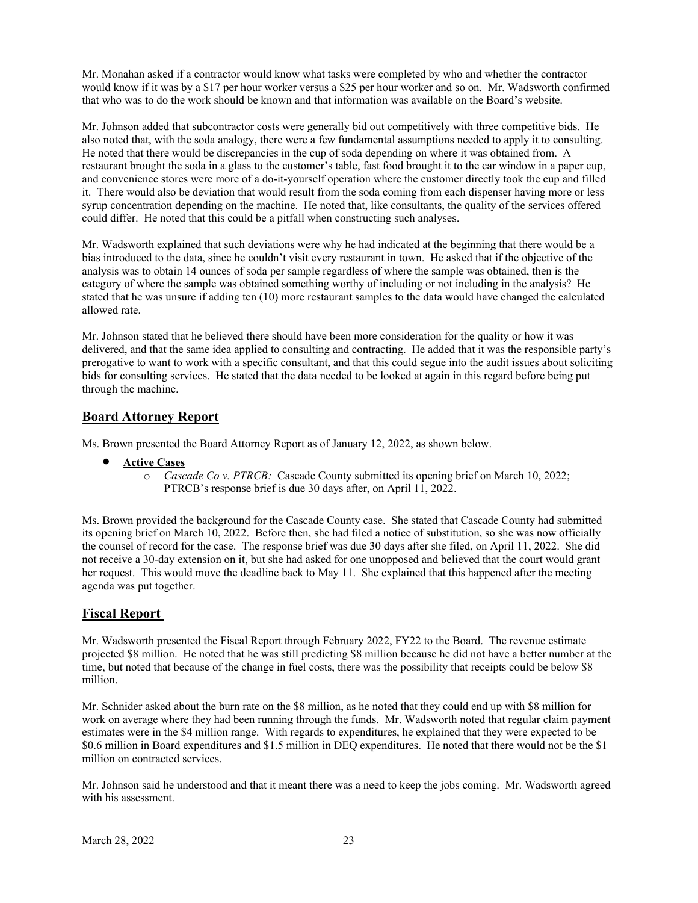Mr. Monahan asked if a contractor would know what tasks were completed by who and whether the contractor would know if it was by a \$17 per hour worker versus a \$25 per hour worker and so on. Mr. Wadsworth confirmed that who was to do the work should be known and that information was available on the Board's website.

Mr. Johnson added that subcontractor costs were generally bid out competitively with three competitive bids. He also noted that, with the soda analogy, there were a few fundamental assumptions needed to apply it to consulting. He noted that there would be discrepancies in the cup of soda depending on where it was obtained from. A restaurant brought the soda in a glass to the customer's table, fast food brought it to the car window in a paper cup, and convenience stores were more of a do-it-yourself operation where the customer directly took the cup and filled it. There would also be deviation that would result from the soda coming from each dispenser having more or less syrup concentration depending on the machine. He noted that, like consultants, the quality of the services offered could differ. He noted that this could be a pitfall when constructing such analyses.

Mr. Wadsworth explained that such deviations were why he had indicated at the beginning that there would be a bias introduced to the data, since he couldn't visit every restaurant in town. He asked that if the objective of the analysis was to obtain 14 ounces of soda per sample regardless of where the sample was obtained, then is the category of where the sample was obtained something worthy of including or not including in the analysis? He stated that he was unsure if adding ten (10) more restaurant samples to the data would have changed the calculated allowed rate.

Mr. Johnson stated that he believed there should have been more consideration for the quality or how it was delivered, and that the same idea applied to consulting and contracting. He added that it was the responsible party's prerogative to want to work with a specific consultant, and that this could segue into the audit issues about soliciting bids for consulting services. He stated that the data needed to be looked at again in this regard before being put through the machine.

# **Board Attorney Report**

Ms. Brown presented the Board Attorney Report as of January 12, 2022, as shown below.

- **Active Cases** 
	- o *Cascade Co v. PTRCB:* Cascade County submitted its opening brief on March 10, 2022; PTRCB's response brief is due 30 days after, on April 11, 2022.

Ms. Brown provided the background for the Cascade County case. She stated that Cascade County had submitted its opening brief on March 10, 2022. Before then, she had filed a notice of substitution, so she was now officially the counsel of record for the case. The response brief was due 30 days after she filed, on April 11, 2022. She did not receive a 30-day extension on it, but she had asked for one unopposed and believed that the court would grant her request. This would move the deadline back to May 11. She explained that this happened after the meeting agenda was put together.

# **Fiscal Report**

Mr. Wadsworth presented the Fiscal Report through February 2022, FY22 to the Board. The revenue estimate projected \$8 million. He noted that he was still predicting \$8 million because he did not have a better number at the time, but noted that because of the change in fuel costs, there was the possibility that receipts could be below \$8 million.

Mr. Schnider asked about the burn rate on the \$8 million, as he noted that they could end up with \$8 million for work on average where they had been running through the funds. Mr. Wadsworth noted that regular claim payment estimates were in the \$4 million range. With regards to expenditures, he explained that they were expected to be \$0.6 million in Board expenditures and \$1.5 million in DEQ expenditures. He noted that there would not be the \$1 million on contracted services.

Mr. Johnson said he understood and that it meant there was a need to keep the jobs coming. Mr. Wadsworth agreed with his assessment.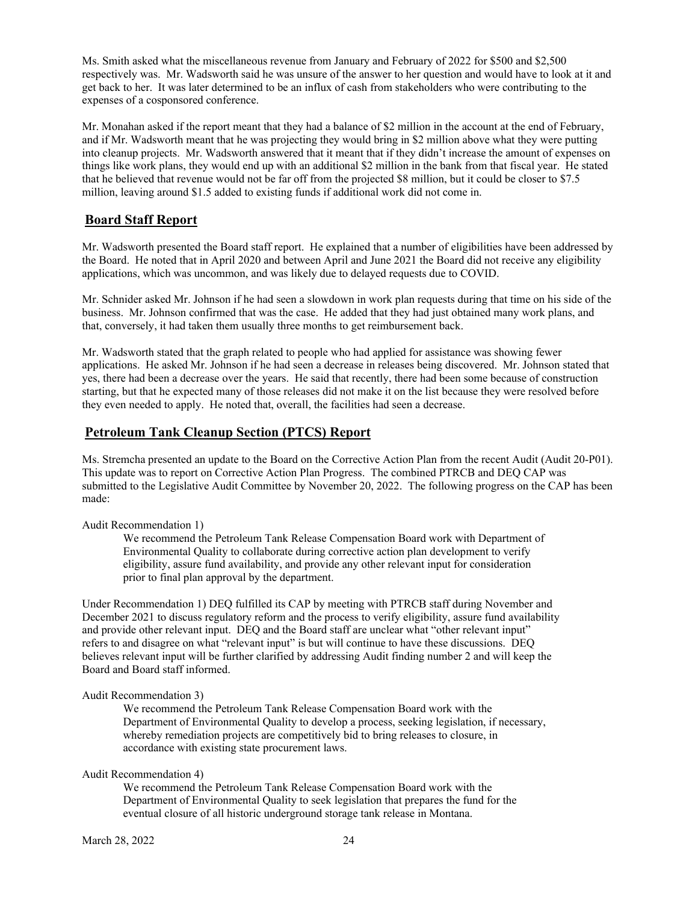Ms. Smith asked what the miscellaneous revenue from January and February of 2022 for \$500 and \$2,500 respectively was. Mr. Wadsworth said he was unsure of the answer to her question and would have to look at it and get back to her. It was later determined to be an influx of cash from stakeholders who were contributing to the expenses of a cosponsored conference.

Mr. Monahan asked if the report meant that they had a balance of \$2 million in the account at the end of February, and if Mr. Wadsworth meant that he was projecting they would bring in \$2 million above what they were putting into cleanup projects. Mr. Wadsworth answered that it meant that if they didn't increase the amount of expenses on things like work plans, they would end up with an additional \$2 million in the bank from that fiscal year. He stated that he believed that revenue would not be far off from the projected \$8 million, but it could be closer to \$7.5 million, leaving around \$1.5 added to existing funds if additional work did not come in.

# **Board Staff Report**

Mr. Wadsworth presented the Board staff report. He explained that a number of eligibilities have been addressed by the Board. He noted that in April 2020 and between April and June 2021 the Board did not receive any eligibility applications, which was uncommon, and was likely due to delayed requests due to COVID.

Mr. Schnider asked Mr. Johnson if he had seen a slowdown in work plan requests during that time on his side of the business. Mr. Johnson confirmed that was the case. He added that they had just obtained many work plans, and that, conversely, it had taken them usually three months to get reimbursement back.

Mr. Wadsworth stated that the graph related to people who had applied for assistance was showing fewer applications. He asked Mr. Johnson if he had seen a decrease in releases being discovered. Mr. Johnson stated that yes, there had been a decrease over the years. He said that recently, there had been some because of construction starting, but that he expected many of those releases did not make it on the list because they were resolved before they even needed to apply. He noted that, overall, the facilities had seen a decrease.

# **Petroleum Tank Cleanup Section (PTCS) Report**

Ms. Stremcha presented an update to the Board on the Corrective Action Plan from the recent Audit (Audit 20-P01). This update was to report on Corrective Action Plan Progress. The combined PTRCB and DEQ CAP was submitted to the Legislative Audit Committee by November 20, 2022. The following progress on the CAP has been made:

#### Audit Recommendation 1)

We recommend the Petroleum Tank Release Compensation Board work with Department of Environmental Quality to collaborate during corrective action plan development to verify eligibility, assure fund availability, and provide any other relevant input for consideration prior to final plan approval by the department.

Under Recommendation 1) DEQ fulfilled its CAP by meeting with PTRCB staff during November and December 2021 to discuss regulatory reform and the process to verify eligibility, assure fund availability and provide other relevant input. DEQ and the Board staff are unclear what "other relevant input" refers to and disagree on what "relevant input" is but will continue to have these discussions. DEQ believes relevant input will be further clarified by addressing Audit finding number 2 and will keep the Board and Board staff informed.

### Audit Recommendation 3)

We recommend the Petroleum Tank Release Compensation Board work with the Department of Environmental Quality to develop a process, seeking legislation, if necessary, whereby remediation projects are competitively bid to bring releases to closure, in accordance with existing state procurement laws.

### Audit Recommendation 4)

We recommend the Petroleum Tank Release Compensation Board work with the Department of Environmental Quality to seek legislation that prepares the fund for the eventual closure of all historic underground storage tank release in Montana.

March 28, 2022 24